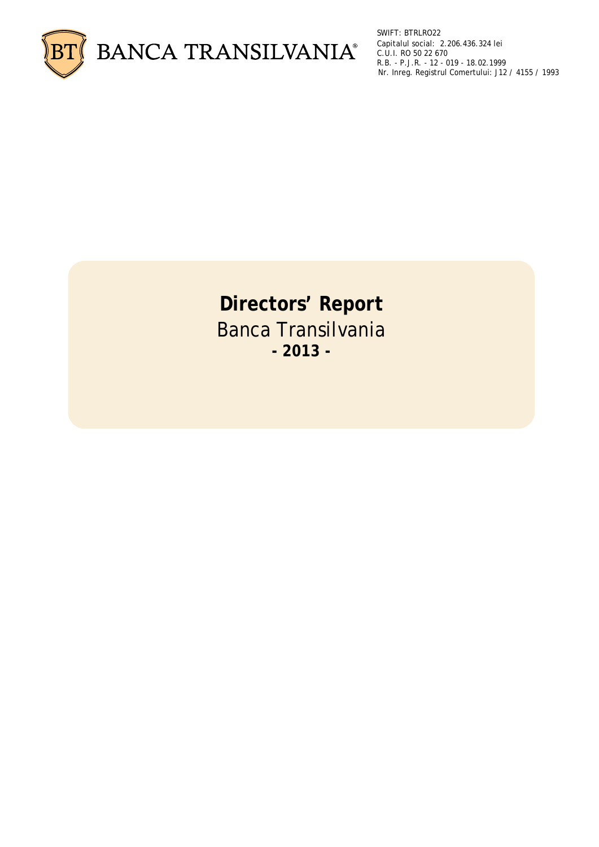

SWIFT: BTRLRO22 Capitalul social: 2.206.436.324 lei C.U.I. RO 50 22 670 R.B. - P.J.R. - 12 - 019 - 18.02.1999 Nr. Inreg. Registrul Comertului: J12 / 4155 / 1993

# **Directors' Report**  Banca Transilvania **- 2013 -**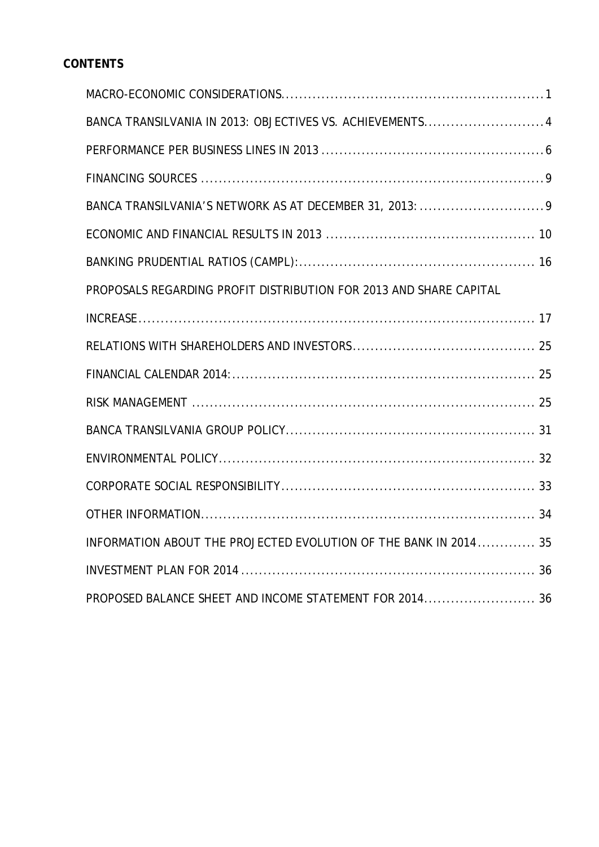# **CONTENTS**

| BANCA TRANSILVANIA IN 2013: OBJECTIVES VS. ACHIEVEMENTS 4          |
|--------------------------------------------------------------------|
|                                                                    |
|                                                                    |
|                                                                    |
|                                                                    |
|                                                                    |
| PROPOSALS REGARDING PROFIT DISTRIBUTION FOR 2013 AND SHARE CAPITAL |
|                                                                    |
|                                                                    |
|                                                                    |
|                                                                    |
|                                                                    |
|                                                                    |
|                                                                    |
|                                                                    |
| INFORMATION ABOUT THE PROJECTED EVOLUTION OF THE BANK IN 2014 35   |
|                                                                    |
| PROPOSED BALANCE SHEET AND INCOME STATEMENT FOR 2014 36            |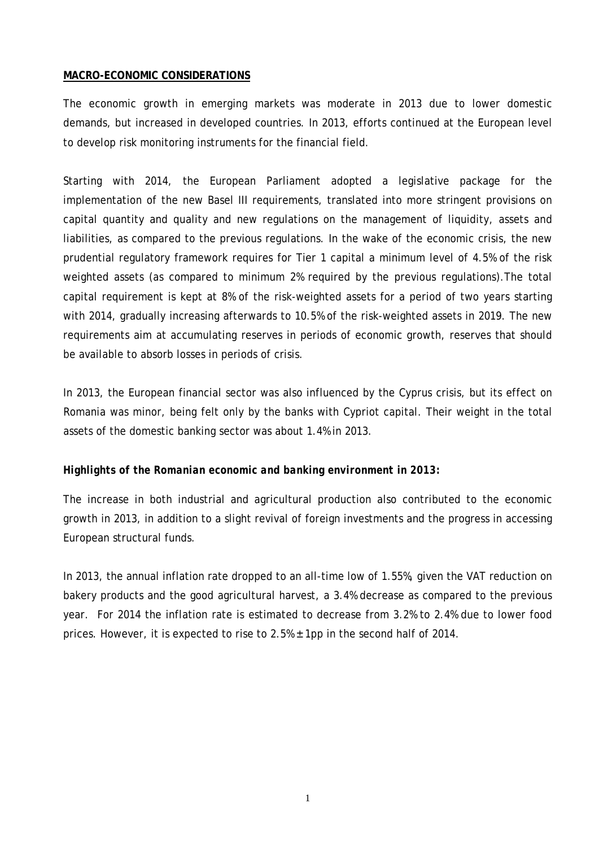#### <span id="page-2-0"></span>**MACRO-ECONOMIC CONSIDERATIONS**

The economic growth in emerging markets was moderate in 2013 due to lower domestic demands, but increased in developed countries. In 2013, efforts continued at the European level to develop risk monitoring instruments for the financial field.

Starting with 2014, the European Parliament adopted a legislative package for the implementation of the new Basel III requirements, translated into more stringent provisions on capital quantity and quality and new regulations on the management of liquidity, assets and liabilities, as compared to the previous regulations. In the wake of the economic crisis, the new prudential regulatory framework requires for Tier 1 capital a minimum level of 4.5% of the risk weighted assets (as compared to minimum 2% required by the previous regulations).The total capital requirement is kept at 8% of the risk-weighted assets for a period of two years starting with 2014, gradually increasing afterwards to 10.5% of the risk-weighted assets in 2019. The new requirements aim at accumulating reserves in periods of economic growth, reserves that should be available to absorb losses in periods of crisis.

In 2013, the European financial sector was also influenced by the Cyprus crisis, but its effect on Romania was minor, being felt only by the banks with Cypriot capital. Their weight in the total assets of the domestic banking sector was about 1.4% in 2013.

# *Highlights of the Romanian economic and banking environment in 2013:*

The increase in both industrial and agricultural production also contributed to the economic growth in 2013, in addition to a slight revival of foreign investments and the progress in accessing European structural funds.

In 2013, the annual inflation rate dropped to an all-time low of 1.55%, given the VAT reduction on bakery products and the good agricultural harvest, a 3.4% decrease as compared to the previous year. For 2014 the inflation rate is estimated to decrease from 3.2% to 2.4% due to lower food prices. However, it is expected to rise to 2.5% ± 1pp in the second half of 2014.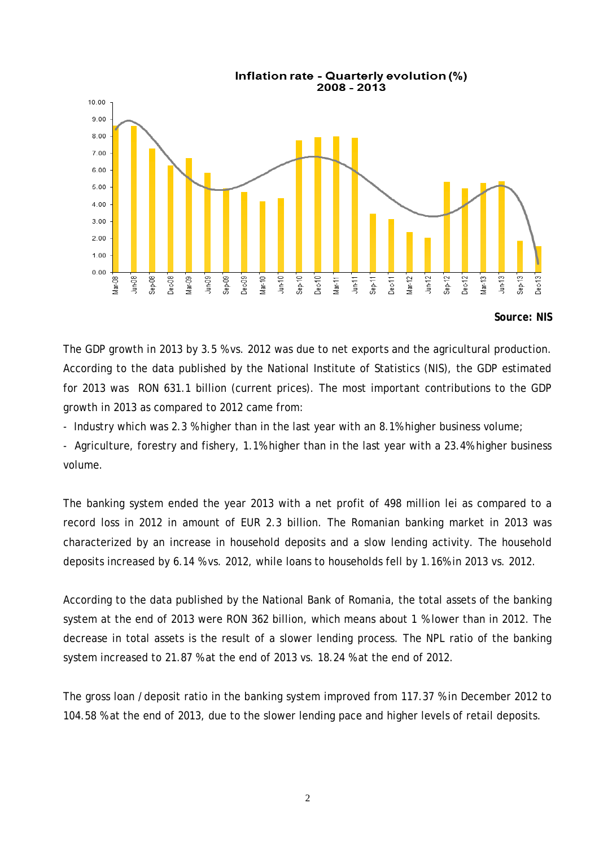

*Source: NIS*

The GDP growth in 2013 by 3.5 % vs. 2012 was due to net exports and the agricultural production. According to the data published by the National Institute of Statistics (NIS), the GDP estimated for 2013 was RON 631.1 billion (current prices). The most important contributions to the GDP growth in 2013 as compared to 2012 came from:

- Industry which was 2.3 % higher than in the last year with an 8.1% higher business volume;

- Agriculture, forestry and fishery, 1.1% higher than in the last year with a 23.4% higher business volume.

The banking system ended the year 2013 with a net profit of 498 million lei as compared to a record loss in 2012 in amount of EUR 2.3 billion. The Romanian banking market in 2013 was characterized by an increase in household deposits and a slow lending activity. The household deposits increased by 6.14 % vs. 2012, while loans to households fell by 1.16% in 2013 vs. 2012.

According to the data published by the National Bank of Romania, the total assets of the banking system at the end of 2013 were RON 362 billion, which means about 1 % lower than in 2012. The decrease in total assets is the result of a slower lending process. The NPL ratio of the banking system increased to 21.87 % at the end of 2013 vs. 18.24 % at the end of 2012.

The gross loan /deposit ratio in the banking system improved from 117.37 % in December 2012 to 104.58 % at the end of 2013, due to the slower lending pace and higher levels of retail deposits.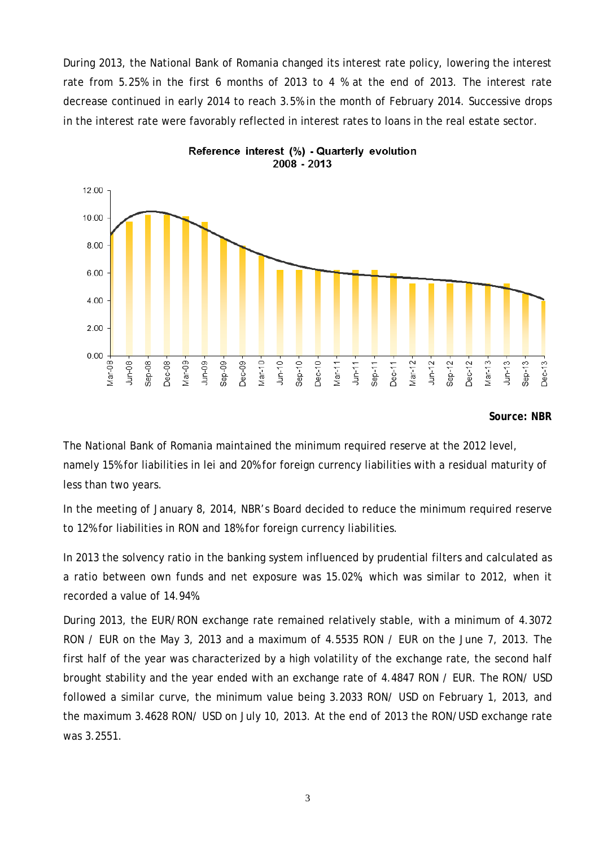During 2013, the National Bank of Romania changed its interest rate policy, lowering the interest rate from 5.25% in the first 6 months of 2013 to 4 % at the end of 2013. The interest rate decrease continued in early 2014 to reach 3.5% in the month of February 2014. Successive drops in the interest rate were favorably reflected in interest rates to loans in the real estate sector.





#### *Source: NBR*

The National Bank of Romania maintained the minimum required reserve at the 2012 level, namely 15% for liabilities in lei and 20% for foreign currency liabilities with a residual maturity of less than two years.

In the meeting of January 8, 2014, NBR's Board decided to reduce the minimum required reserve to 12% for liabilities in RON and 18% for foreign currency liabilities.

In 2013 the solvency ratio in the banking system influenced by prudential filters and calculated as a ratio between own funds and net exposure was 15.02%, which was similar to 2012, when it recorded a value of 14.94%.

During 2013, the EUR/RON exchange rate remained relatively stable, with a minimum of 4.3072 RON / EUR on the May 3, 2013 and a maximum of 4.5535 RON / EUR on the June 7, 2013. The first half of the year was characterized by a high volatility of the exchange rate, the second half brought stability and the year ended with an exchange rate of 4.4847 RON / EUR. The RON/ USD followed a similar curve, the minimum value being 3.2033 RON/ USD on February 1, 2013, and the maximum 3.4628 RON/ USD on July 10, 2013. At the end of 2013 the RON/USD exchange rate was 3.2551.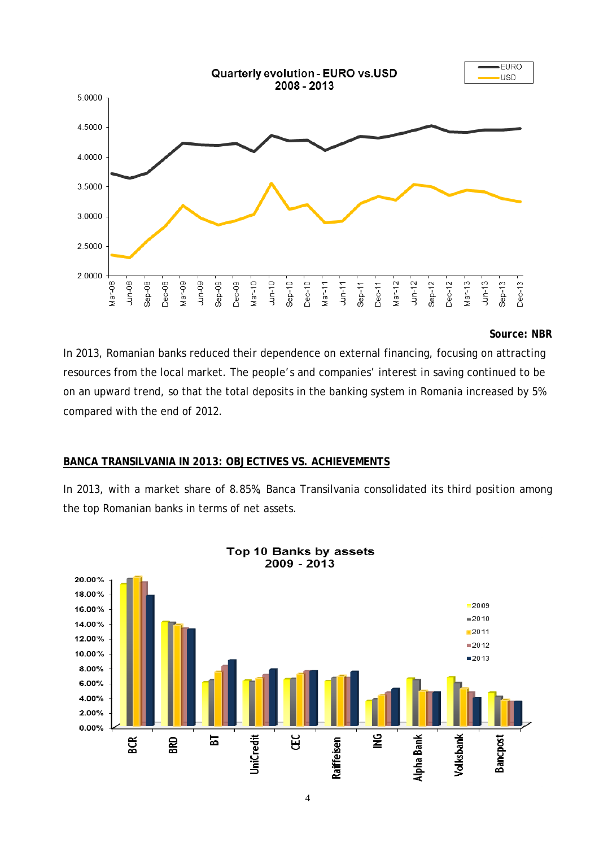

#### *Source: NBR*

In 2013, Romanian banks reduced their dependence on external financing, focusing on attracting resources from the local market. The people's and companies' interest in saving continued to be on an upward trend, so that the total deposits in the banking system in Romania increased by 5% compared with the end of 2012.

#### <span id="page-5-0"></span>**BANCA TRANSILVANIA IN 2013: OBJECTIVES VS. ACHIEVEMENTS**

In 2013, with a market share of 8.85%, Banca Transilvania consolidated its third position among the top Romanian banks in terms of net assets.



Top 10 Banks by assets 2009 - 2013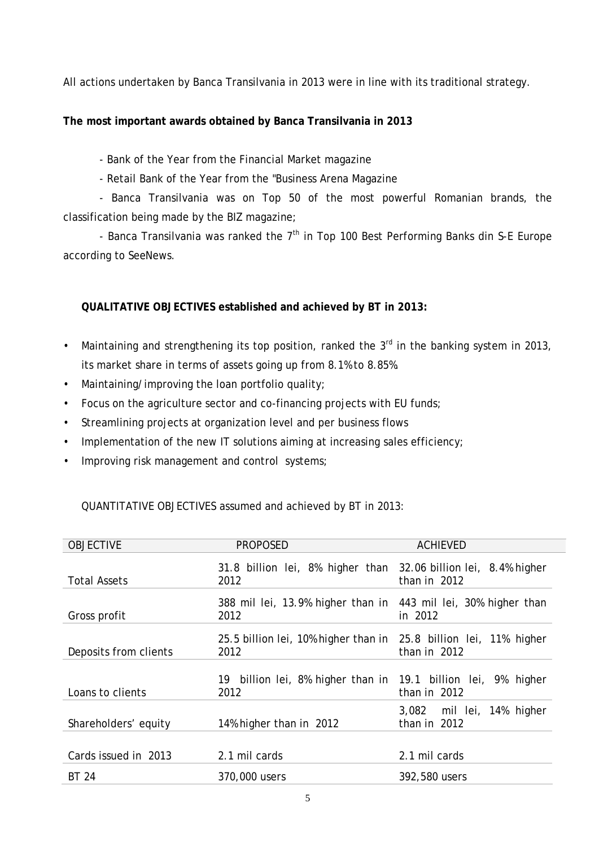All actions undertaken by Banca Transilvania in 2013 were in line with its traditional strategy.

# **The most important awards obtained by Banca Transilvania in 2013**

- Bank of the Year from the Financial Market magazine
- Retail Bank of the Year from the "Business Arena Magazine

- Banca Transilvania was on Top 50 of the most powerful Romanian brands, the classification being made by the BIZ magazine;

- Banca Transilvania was ranked the  $7<sup>th</sup>$  in Top 100 Best Performing Banks din S-E Europe according to SeeNews.

# **QUALITATIVE OBJECTIVES established and achieved by BT in 2013:**

- Maintaining and strengthening its top position, ranked the 3<sup>rd</sup> in the banking system in 2013, its market share in terms of assets going up from 8.1% to 8.85%.
- Maintaining/improving the loan portfolio quality;
- Focus on the agriculture sector and co-financing projects with EU funds;
- Streamlining projects at organization level and per business flows
- Implementation of the new IT solutions aiming at increasing sales efficiency;
- Improving risk management and control systems;

# QUANTITATIVE OBJECTIVES assumed and achieved by BT in 2013:

| <b>OBJECTIVE</b>      | <b>PROPOSED</b>                                                            | <b>ACHIEVED</b>                           |
|-----------------------|----------------------------------------------------------------------------|-------------------------------------------|
| <b>Total Assets</b>   | 31.8 billion lei, 8% higher than 32.06 billion lei, 8.4% higher<br>2012    | than in $2012$                            |
| Gross profit          | 388 mil lei, 13.9% higher than in 443 mil lei, 30% higher than<br>2012     | in 2012                                   |
| Deposits from clients | 25.5 billion lei, 10% higher than in 25.8 billion lei, 11% higher<br>2012  | than in 2012                              |
| Loans to clients      | billion lei, 8% higher than in 19.1 billion lei, 9% higher<br>19 -<br>2012 | than in $2012$                            |
| Shareholders' equity  | 14% higher than in 2012                                                    | 3,082 mil lei, 14% higher<br>than in 2012 |
| Cards issued in 2013  | 2.1 mil cards                                                              | 2.1 mil cards                             |
| <b>BT 24</b>          | 370,000 users                                                              | 392,580 users                             |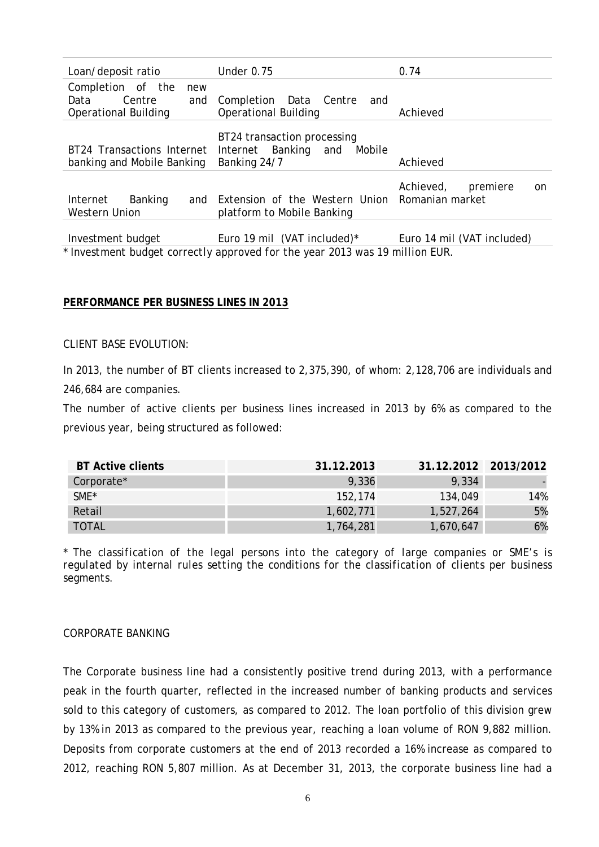| Loan/deposit ratio                                                               | Under 0.75                                                                    | 0.74                         |
|----------------------------------------------------------------------------------|-------------------------------------------------------------------------------|------------------------------|
| Completion of the<br>new<br>Centre<br>Data<br>and<br><b>Operational Building</b> | Completion Data Centre<br>and<br><b>Operational Building</b>                  | Achieved                     |
| BT24 Transactions Internet<br>banking and Mobile Banking                         | BT24 transaction processing<br>Internet Banking and<br>Mobile<br>Banking 24/7 | Achieved                     |
| Banking<br>Internet<br>and<br><b>Western Union</b>                               | Extension of the Western Union Romanian market<br>platform to Mobile Banking  | Achieved,<br>premiere<br>on. |
| Investment budget                                                                | Euro 19 mil (VAT included) $*$                                                | Euro 14 mil (VAT included)   |

\* *Investment budget correctly approved for the year 2013 was 19 million EUR.*

#### <span id="page-7-0"></span>**PERFORMANCE PER BUSINESS LINES IN 2013**

#### CLIENT BASE EVOLUTION:

In 2013, the number of BT clients increased to 2,375,390, of whom: 2,128,706 are individuals and 246,684 are companies.

The number of active clients per business lines increased in 2013 by 6% as compared to the previous year, being structured as followed:

| <b>BT Active clients</b> | 31.12.2013 | 31.12.2012 2013/2012 |     |
|--------------------------|------------|----------------------|-----|
| Corporate*               | 9,336      | 9,334                |     |
| SME <sup>*</sup>         | 152.174    | 134,049              | 14% |
| Retail                   | 1,602,771  | 1,527,264            | 5%  |
| <b>TOTAL</b>             | 1,764,281  | 1,670,647            | 6%  |

\* *The classification of the legal persons into the category of large companies or SME's is regulated by internal rules setting the conditions for the classification of clients per business segments.*

#### CORPORATE BANKING

The Corporate business line had a consistently positive trend during 2013, with a performance peak in the fourth quarter, reflected in the increased number of banking products and services sold to this category of customers, as compared to 2012. The loan portfolio of this division grew by 13% in 2013 as compared to the previous year, reaching a loan volume of RON 9,882 million. Deposits from corporate customers at the end of 2013 recorded a 16% increase as compared to 2012, reaching RON 5,807 million. As at December 31, 2013, the corporate business line had a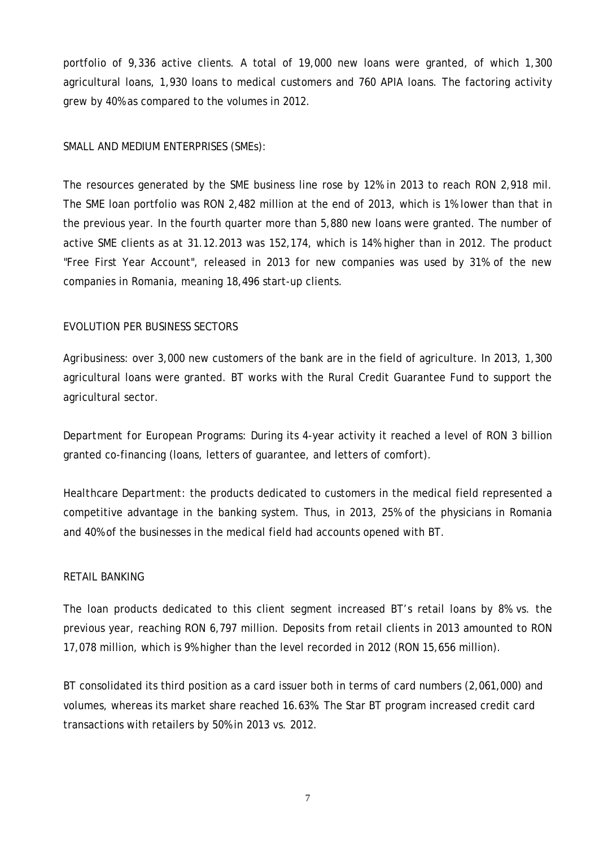portfolio of 9,336 active clients. A total of 19,000 new loans were granted, of which 1,300 agricultural loans, 1,930 loans to medical customers and 760 APIA loans. The factoring activity grew by 40% as compared to the volumes in 2012.

#### SMALL AND MEDIUM ENTERPRISES (SMEs):

The resources generated by the SME business line rose by 12% in 2013 to reach RON 2,918 mil. The SME loan portfolio was RON 2,482 million at the end of 2013, which is 1% lower than that in the previous year. In the fourth quarter more than 5,880 new loans were granted. The number of active SME clients as at 31.12.2013 was 152,174, which is 14% higher than in 2012. The product "Free First Year Account", released in 2013 for new companies was used by 31% of the new companies in Romania, meaning 18,496 start-up clients.

#### EVOLUTION PER BUSINESS SECTORS

*Agribusiness*: over 3,000 new customers of the bank are in the field of agriculture. In 2013, 1,300 agricultural loans were granted. BT works with the Rural Credit Guarantee Fund to support the agricultural sector.

*Department for European Programs*: During its 4-year activity it reached a level of RON 3 billion granted co-financing (loans, letters of guarantee, and letters of comfort).

*Healthcare Department*: the products dedicated to customers in the medical field represented a competitive advantage in the banking system. Thus, in 2013, 25% of the physicians in Romania and 40% of the businesses in the medical field had accounts opened with BT.

#### RETAIL BANKING

The loan products dedicated to this client segment increased BT's retail loans by 8% vs. the previous year, reaching RON 6,797 million. Deposits from retail clients in 2013 amounted to RON 17,078 million, which is 9% higher than the level recorded in 2012 (RON 15,656 million).

BT consolidated its third position as a card issuer both in terms of card numbers (2,061,000) and volumes, whereas its market share reached 16.63%. The Star BT program increased credit card transactions with retailers by 50% in 2013 vs. 2012.

7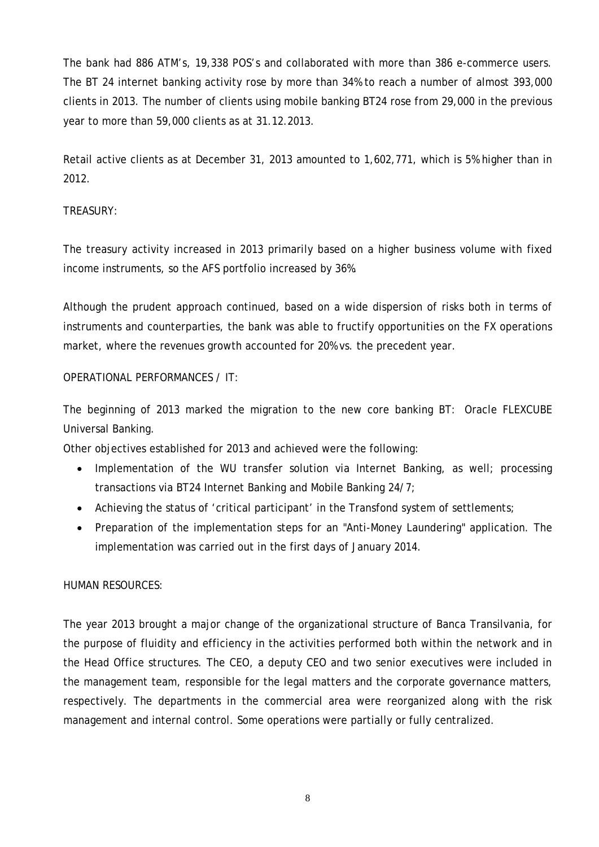The bank had 886 ATM's, 19,338 POS's and collaborated with more than 386 e-commerce users. The BT 24 internet banking activity rose by more than 34% to reach a number of almost 393,000 clients in 2013. The number of clients using mobile banking BT24 rose from 29,000 in the previous year to more than 59,000 clients as at 31.12.2013.

Retail active clients as at December 31, 2013 amounted to 1,602,771, which is 5% higher than in 2012.

# TREASURY:

The treasury activity increased in 2013 primarily based on a higher business volume with fixed income instruments, so the AFS portfolio increased by 36%.

Although the prudent approach continued, based on a wide dispersion of risks both in terms of instruments and counterparties, the bank was able to fructify opportunities on the FX operations market, where the revenues growth accounted for 20% vs. the precedent year.

# OPERATIONAL PERFORMANCES / IT:

The beginning of 2013 marked the migration to the new core banking BT: Oracle FLEXCUBE Universal Banking.

Other objectives established for 2013 and achieved were the following:

- Implementation of the WU transfer solution via Internet Banking, as well; processing transactions via BT24 Internet Banking and Mobile Banking 24/7;
- Achieving the status of 'critical participant' in the Transfond system of settlements;
- Preparation of the implementation steps for an "Anti-Money Laundering" application. The implementation was carried out in the first days of January 2014.

# HUMAN RESOURCES:

The year 2013 brought a major change of the organizational structure of Banca Transilvania, for the purpose of fluidity and efficiency in the activities performed both within the network and in the Head Office structures. The CEO, a deputy CEO and two senior executives were included in the management team, responsible for the legal matters and the corporate governance matters, respectively. The departments in the commercial area were reorganized along with the risk management and internal control. Some operations were partially or fully centralized.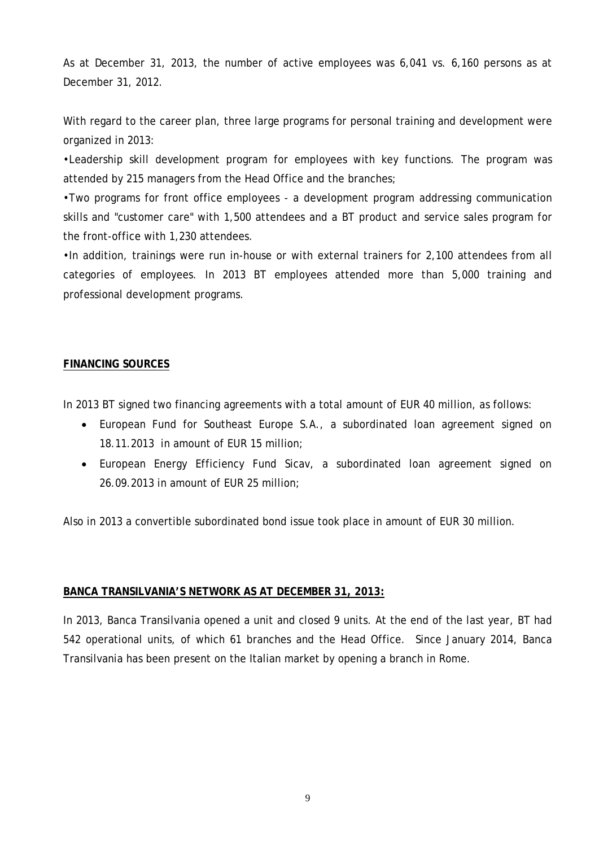As at December 31, 2013, the number of active employees was 6,041 vs. 6,160 persons as at December 31, 2012.

With regard to the career plan, three large programs for personal training and development were organized in 2013:

•Leadership skill development program for employees with key functions. The program was attended by 215 managers from the Head Office and the branches;

•Two programs for front office employees - a development program addressing communication skills and "customer care" with 1,500 attendees and a BT product and service sales program for the front-office with 1,230 attendees.

•In addition, trainings were run in-house or with external trainers for 2,100 attendees from all categories of employees. In 2013 BT employees attended more than 5,000 training and professional development programs.

#### <span id="page-10-0"></span>**FINANCING SOURCES**

In 2013 BT signed two financing agreements with a total amount of EUR 40 million, as follows:

- European Fund for Southeast Europe S.A., a subordinated loan agreement signed on 18.11.2013 in amount of EUR 15 million;
- European Energy Efficiency Fund Sicav, a subordinated loan agreement signed on 26.09.2013 in amount of EUR 25 million;

Also in 2013 a convertible subordinated bond issue took place in amount of EUR 30 million.

#### <span id="page-10-1"></span>**BANCA TRANSILVANIA'S NETWORK AS AT DECEMBER 31, 2013:**

In 2013, Banca Transilvania opened a unit and closed 9 units. At the end of the last year, BT had 542 operational units, of which 61 branches and the Head Office. Since January 2014, Banca Transilvania has been present on the Italian market by opening a branch in Rome.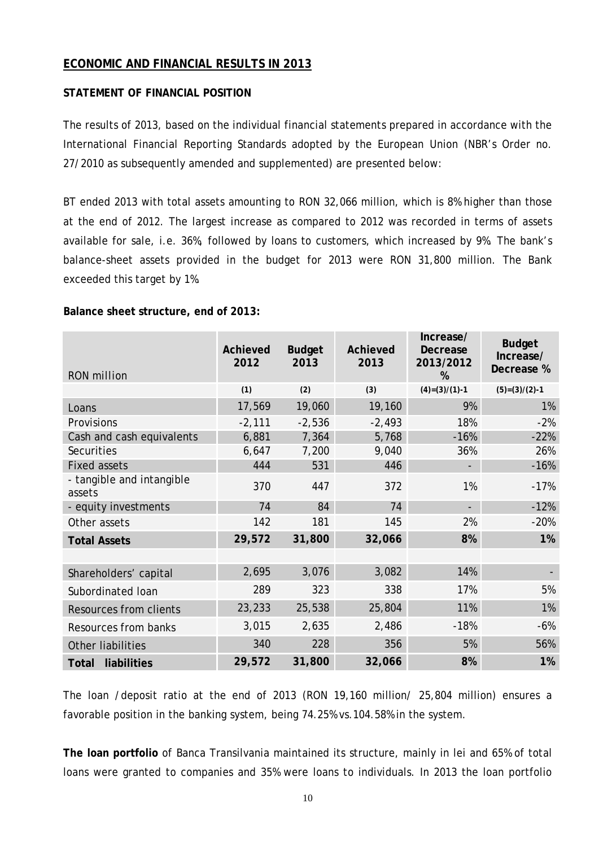# <span id="page-11-0"></span>**ECONOMIC AND FINANCIAL RESULTS IN 2013**

#### **STATEMENT OF FINANCIAL POSITION**

The results of 2013, based on the individual financial statements prepared in accordance with the International Financial Reporting Standards adopted by the European Union (NBR's Order no. 27/2010 as subsequently amended and supplemented) are presented below:

BT ended 2013 with total assets amounting to RON 32,066 million, which is 8% higher than those at the end of 2012. The largest increase as compared to 2012 was recorded in terms of assets available for sale, i.e. 36%, followed by loans to customers, which increased by 9%. The bank's balance-sheet assets provided in the budget for 2013 were RON 31,800 million. The Bank exceeded this target by 1%.

#### **Balance sheet structure, end of 2013:**

| <b>RON</b> million                  | Achieved<br>2012 | <b>Budget</b><br>2013 | Achieved<br>2013 | Increase/<br>Decrease<br>2013/2012<br>% | <b>Budget</b><br>Increase/<br>Decrease % |
|-------------------------------------|------------------|-----------------------|------------------|-----------------------------------------|------------------------------------------|
|                                     | (1)              | (2)                   | (3)              | $(4)=(3)/(1)-1$                         | $(5)=(3)/(2)-1$                          |
| Loans                               | 17,569           | 19,060                | 19,160           | 9%                                      | 1%                                       |
| Provisions                          | $-2,111$         | $-2,536$              | $-2,493$         | 18%                                     | $-2%$                                    |
| Cash and cash equivalents           | 6,881            | 7,364                 | 5,768            | $-16%$                                  | $-22%$                                   |
| Securities                          | 6,647            | 7,200                 | 9,040            | 36%                                     | 26%                                      |
| <b>Fixed assets</b>                 | 444              | 531                   | 446              |                                         | $-16%$                                   |
| - tangible and intangible<br>assets | 370              | 447                   | 372              | 1%                                      | $-17%$                                   |
| - equity investments                | 74               | 84                    | 74               |                                         | $-12%$                                   |
| Other assets                        | 142              | 181                   | 145              | 2%                                      | $-20%$                                   |
| <b>Total Assets</b>                 | 29,572           | 31,800                | 32,066           | 8%                                      | 1%                                       |
|                                     |                  |                       |                  |                                         |                                          |
| Shareholders' capital               | 2,695            | 3,076                 | 3,082            | 14%                                     |                                          |
| Subordinated Ioan                   | 289              | 323                   | 338              | 17%                                     | 5%                                       |
| <b>Resources from clients</b>       | 23,233           | 25,538                | 25,804           | 11%                                     | 1%                                       |
| Resources from banks                | 3,015            | 2,635                 | 2,486            | $-18%$                                  | $-6%$                                    |
| Other liabilities                   | 340              | 228                   | 356              | 5%                                      | 56%                                      |
| liabilities<br>Total                | 29,572           | 31,800                | 32,066           | 8%                                      | 1%                                       |

The loan /deposit ratio at the end of 2013 (RON 19,160 million/ 25,804 million) ensures a favorable position in the banking system, being 74.25% vs.104.58% in the system.

**The loan portfolio** of Banca Transilvania maintained its structure, mainly in lei and 65% of total loans were granted to companies and 35% were loans to individuals. In 2013 the loan portfolio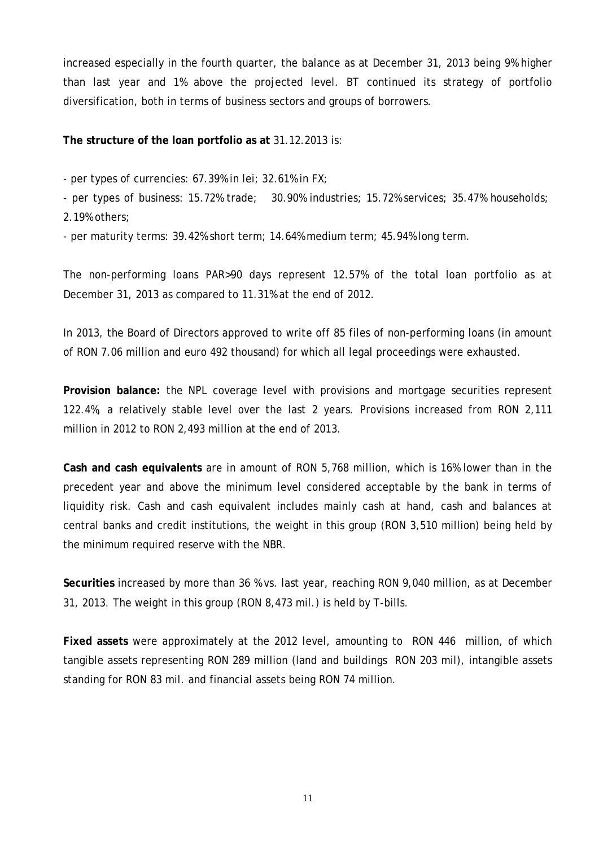increased especially in the fourth quarter, the balance as at December 31, 2013 being 9% higher than last year and 1% above the projected level. BT continued its strategy of portfolio diversification, both in terms of business sectors and groups of borrowers.

**The structure of the loan portfolio as at** 31.12.2013 is:

- per types of currencies: 67.39% in lei; 32.61% in FX;

- per types of business: 15.72% trade; 30.90% industries; 15.72% services; 35.47% households; 2.19% others;

- per maturity terms: 39.42% short term; 14.64% medium term; 45.94% long term.

The non-performing loans PAR>90 days represent 12.57% of the total loan portfolio as at December 31, 2013 as compared to 11.31% at the end of 2012.

In 2013, the Board of Directors approved to write off 85 files of non-performing loans (in amount of RON 7.06 million and euro 492 thousand) for which all legal proceedings were exhausted.

**Provision balance:** the NPL coverage level with provisions and mortgage securities represent 122.4%, a relatively stable level over the last 2 years. Provisions increased from RON 2,111 million in 2012 to RON 2,493 million at the end of 2013.

**Cash and cash equivalents** are in amount of RON 5,768 million, which is 16% lower than in the precedent year and above the minimum level considered acceptable by the bank in terms of liquidity risk. Cash and cash equivalent includes mainly cash at hand, cash and balances at central banks and credit institutions, the weight in this group (RON 3,510 million) being held by the minimum required reserve with the NBR.

**Securities** increased by more than 36 % vs. last year, reaching RON 9,040 million, as at December 31, 2013. The weight in this group (RON 8,473 mil.) is held by T-bills.

**Fixed assets** were approximately at the 2012 level, amounting to RON 446 million, of which tangible assets representing RON 289 million (land and buildings RON 203 mil), intangible assets standing for RON 83 mil. and financial assets being RON 74 million.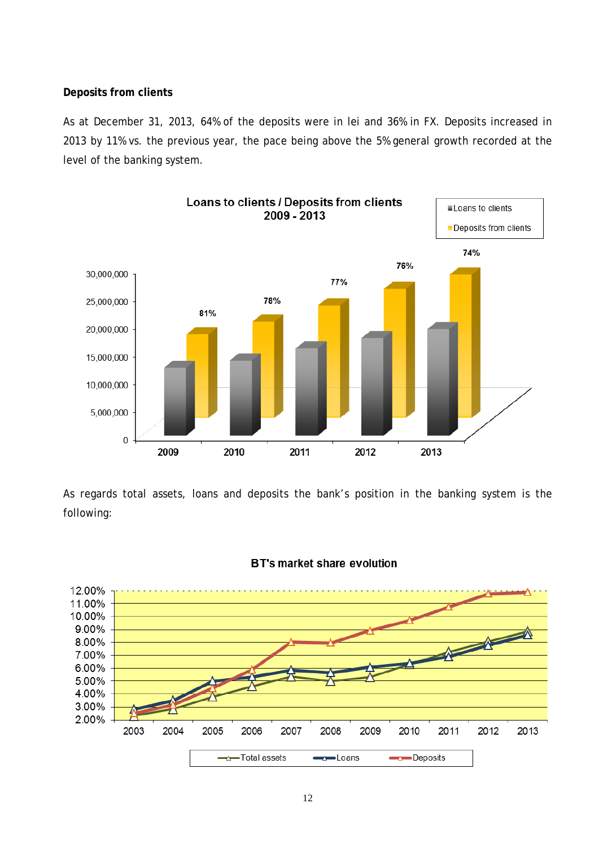#### **Deposits from clients**

As at December 31, 2013, 64% of the deposits were in lei and 36% in FX. Deposits increased in 2013 by 11% vs. the previous year, the pace being above the 5% general growth recorded at the level of the banking system.



As regards total assets, loans and deposits the bank's position in the banking system is the following:



#### **BT's market share evolution**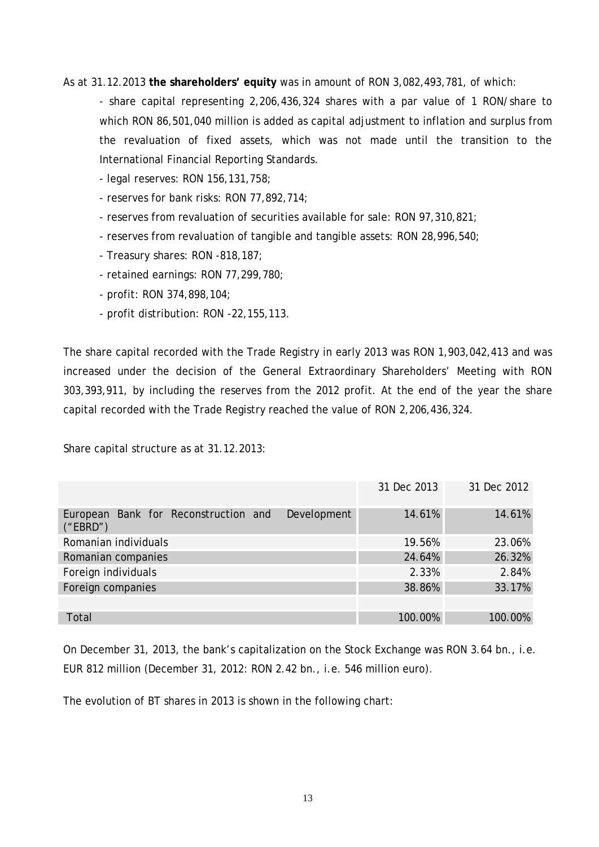As at 31.12.2013 **the shareholders' equity** was in amount of RON 3,082,493,781, of which:

- share capital representing 2,206,436,324 shares with a par value of 1 RON/share to which RON 86,501,040 million is added as capital adjustment to inflation and surplus from the revaluation of fixed assets, which was not made until the transition to the International Financial Reporting Standards.

- legal reserves: RON 156,131,758;
- reserves for bank risks: RON 77,892,714;
- reserves from revaluation of securities available for sale: RON 97,310,821;
- reserves from revaluation of tangible and tangible assets: RON 28,996,540;
- Treasury shares: RON -818,187;
- retained earnings: RON 77,299,780;
- profit: RON 374,898,104;
- profit distribution: RON -22,155,113.

The share capital recorded with the Trade Registry in early 2013 was RON 1,903,042,413 and was increased under the decision of the General Extraordinary Shareholders' Meeting with RON 303,393,911, by including the reserves from the 2012 profit. At the end of the year the share capital recorded with the Trade Registry reached the value of RON 2,206,436,324.

Share capital structure as at 31.12.2013:

|                                                                 | 31 Dec 2013 | 31 Dec 2012 |
|-----------------------------------------------------------------|-------------|-------------|
| Development<br>European Bank for Reconstruction and<br>("EBRD") | 14.61%      | 14.61%      |
| Romanian individuals                                            | 19.56%      | 23.06%      |
| Romanian companies                                              | 24.64%      | 26.32%      |
| Foreign individuals                                             | 2.33%       | 2.84%       |
| Foreign companies                                               | 38.86%      | 33.17%      |
|                                                                 |             |             |
| Total                                                           | 100.00%     | 100.00%     |

On December 31, 2013, the bank's capitalization on the Stock Exchange was RON 3.64 bn., i.e. EUR 812 million (December 31, 2012: RON 2.42 bn., i.e. 546 million euro).

The evolution of BT shares in 2013 is shown in the following chart: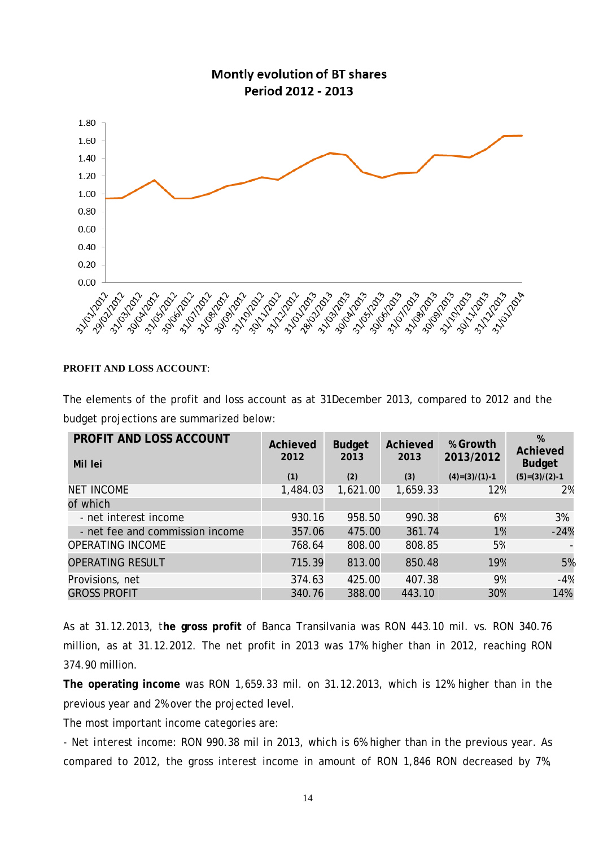

#### **PROFIT AND LOSS ACCOUNT**:

The elements of the profit and loss account as at 31December 2013, compared to 2012 and the budget projections are summarized below:

| <b>PROFIT AND LOSS ACCOUNT</b><br>Mil lei | Achieved<br>2012 | <b>Budget</b><br>2013 | Achieved<br>2013 | % Growth<br>2013/2012 | %<br>Achieved<br><b>Budget</b> |
|-------------------------------------------|------------------|-----------------------|------------------|-----------------------|--------------------------------|
|                                           | (1)              | (2)                   | (3)              | $(4)=(3)/(1)-1$       | $(5)=(3)/(2)-1$                |
| <b>NET INCOME</b>                         | 1,484.03         | 1,621.00              | 1,659.33         | 12%                   | 2%                             |
| of which                                  |                  |                       |                  |                       |                                |
| - net interest income                     | 930.16           | 958.50                | 990.38           | 6%                    | 3%                             |
| - net fee and commission income           | 357.06           | 475.00                | 361.74           | 1%                    | $-24%$                         |
| <b>OPERATING INCOME</b>                   | 768.64           | 808.00                | 808.85           | 5%                    |                                |
| <b>OPERATING RESULT</b>                   | 715.39           | 813.00                | 850.48           | 19%                   | 5%                             |
| Provisions, net                           | 374.63           | 425.00                | 407.38           | 9%                    | $-4%$                          |
| <b>GROSS PROFIT</b>                       | 340.76           | 388.00                | 443.10           | 30%                   | 14%                            |
|                                           |                  |                       |                  |                       |                                |

As at 31.12.2013, t**he gross profit** of Banca Transilvania was RON 443.10 mil. vs. RON 340.76 million, as at 31.12.2012. The net profit in 2013 was 17% higher than in 2012, reaching RON 374.90 million.

**The operating income** was RON 1,659.33 mil. on 31.12.2013, which is 12% higher than in the previous year and 2% over the projected level.

The most important income categories are:

*- Net interest income*: RON 990.38 mil in 2013, which is 6% higher than in the previous year. As compared to 2012, the gross interest income in amount of RON 1,846 RON decreased by 7%,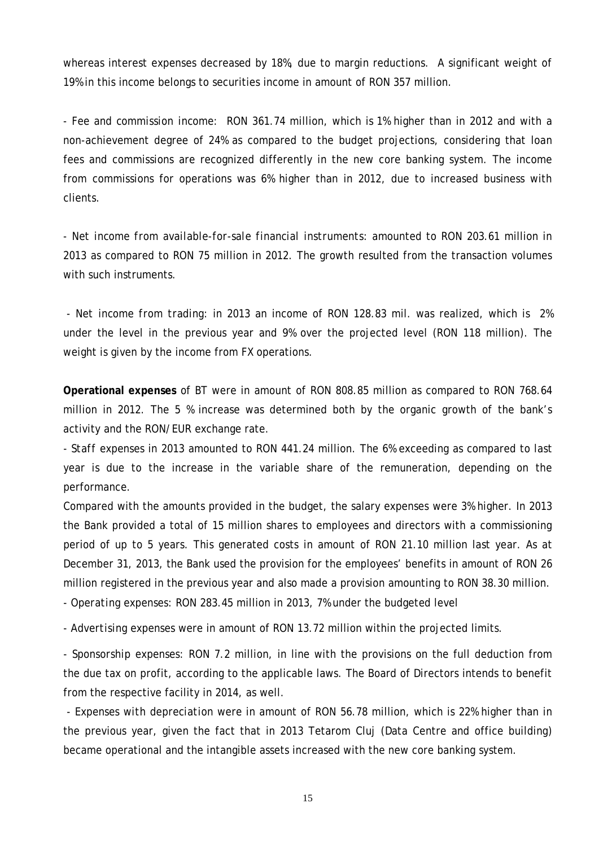whereas interest expenses decreased by 18%, due to margin reductions. A significant weight of 19% in this income belongs to securities income in amount of RON 357 million.

*- Fee and commission income:* RON 361.74 million, which is 1% higher than in 2012 and with a non-achievement degree of 24% as compared to the budget projections, considering that loan fees and commissions are recognized differently in the new core banking system. The income from commissions for operations was 6% higher than in 2012, due to increased business with clients.

*- Net income from available-for-sale financial instruments*: amounted to RON 203.61 million in 2013 as compared to RON 75 million in 2012. The growth resulted from the transaction volumes with such instruments.

*- Net income from trading*: in 2013 an income of RON 128.83 mil. was realized, which is 2% under the level in the previous year and 9% over the projected level (RON 118 million). The weight is given by the income from FX operations.

**Operational expenses** of BT were in amount of RON 808.85 million as compared to RON 768.64 million in 2012. The 5 % increase was determined both by the organic growth of the bank's activity and the RON/EUR exchange rate.

*- Staff expenses* in 2013 amounted to RON 441.24 million. The 6% exceeding as compared to last year is due to the increase in the variable share of the remuneration, depending on the performance.

Compared with the amounts provided in the budget, the salary expenses were 3% higher. In 2013 the Bank provided a total of 15 million shares to employees and directors with a commissioning period of up to 5 years. This generated costs in amount of RON 21.10 million last year. As at December 31, 2013, the Bank used the provision for the employees' benefits in amount of RON 26 million registered in the previous year and also made a provision amounting to RON 38.30 million.

*- Operating expenses: RON* 283.45 million in 2013, 7% under the budgeted level

- *Advertising expenses* were in amount of RON 13.72 million within the projected limits.

*- Sponsorship expenses: RON* 7.2 million, in line with the provisions on the full deduction from the due tax on profit, according to the applicable laws. The Board of Directors intends to benefit from the respective facility in 2014, as well.

*- Expenses with depreciation* were in amount of RON 56.78 million, which is 22% higher than in the previous year, given the fact that in 2013 Tetarom Cluj (Data Centre and office building) became operational and the intangible assets increased with the new core banking system.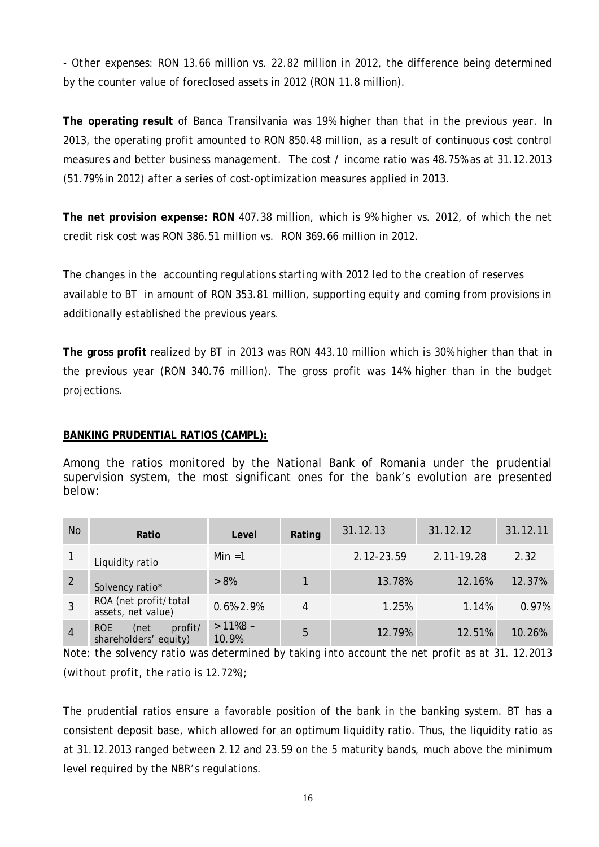*- Other expenses*: RON 13.66 million vs. 22.82 million in 2012, the difference being determined by the counter value of foreclosed assets in 2012 (RON 11.8 million).

**The operating result** of Banca Transilvania was 19% higher than that in the previous year. In 2013, the operating profit amounted to RON 850.48 million, as a result of continuous cost control measures and better business management. The cost / income ratio was 48.75% as at 31.12.2013 (51.79% in 2012) after a series of cost-optimization measures applied in 2013.

**The net provision expense: RON** 407.38 million, which is 9% higher vs. 2012, of which the net credit risk cost was RON 386.51 million vs. RON 369.66 million in 2012.

The changes in the accounting regulations starting with 2012 led to the creation of reserves available to BT in amount of RON 353.81 million, supporting equity and coming from provisions in additionally established the previous years.

**The gross profit** realized by BT in 2013 was RON 443.10 million which is 30% higher than that in the previous year (RON 340.76 million). The gross profit was 14% higher than in the budget projections.

# <span id="page-17-0"></span>**BANKING PRUDENTIAL RATIOS (CAMPL):**

Among the ratios monitored by the National Bank of Romania under the prudential supervision system, the most significant ones for the bank's evolution are presented below:

| <b>No</b>      | Ratio                                           | Level               | Rating | 31.12.13   | 31.12.12   | 31.12.11 |
|----------------|-------------------------------------------------|---------------------|--------|------------|------------|----------|
|                | Liquidity ratio                                 | Min $=1$            |        | 2.12-23.59 | 2.11-19.28 | 2.32     |
| $\overline{2}$ | Solvency ratio*                                 | $> 8\%$             |        | 13.78%     | 12.16%     | 12.37%   |
|                | ROA (net profit/total<br>assets, net value)     | $0.6\% - 2.9\%$     | 4      | 1.25%      | 1.14%      | 0.97%    |
| $\overline{4}$ | profit/<br>ROE<br>(net<br>shareholders' equity) | $>11\%8$ -<br>10.9% | 5      | 12.79%     | 12.51%     | 10.26%   |

*Note: the solvency ratio was determined by taking into account the net profit as at 31. 12.2013 (without profit, the ratio is 12.72%);*

The prudential ratios ensure a favorable position of the bank in the banking system. BT has a consistent deposit base, which allowed for an optimum liquidity ratio. Thus, the liquidity ratio as at 31.12.2013 ranged between 2.12 and 23.59 on the 5 maturity bands, much above the minimum level required by the NBR's regulations.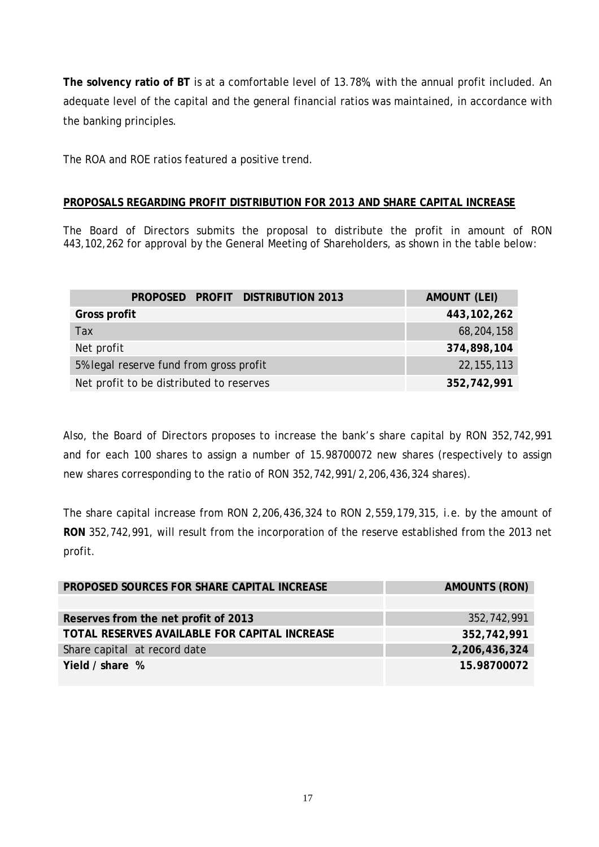**The solvency ratio of BT** is at a comfortable level of 13.78%, with the annual profit included. An adequate level of the capital and the general financial ratios was maintained, in accordance with the banking principles.

The ROA and ROE ratios featured a positive trend.

# <span id="page-18-0"></span>**PROPOSALS REGARDING PROFIT DISTRIBUTION FOR 2013 AND SHARE CAPITAL INCREASE**

The Board of Directors submits the proposal to distribute the profit in amount of RON 443,102,262 for approval by the General Meeting of Shareholders, as shown in the table below:

| PROPOSED PROFIT DISTRIBUTION 2013        | <b>AMOUNT (LEI)</b> |
|------------------------------------------|---------------------|
| Gross profit                             | 443, 102, 262       |
| Tax                                      | 68,204,158          |
| Net profit                               | 374,898,104         |
| 5% legal reserve fund from gross profit  | 22, 155, 113        |
| Net profit to be distributed to reserves | 352,742,991         |

Also, the Board of Directors proposes to increase the bank's share capital by RON 352,742,991 and for each 100 shares to assign a number of 15.98700072 new shares (respectively to assign new shares corresponding to the ratio of RON 352,742,991/2,206,436,324 shares).

The share capital increase from RON 2,206,436,324 to RON 2,559,179,315, i.e. by the amount of **RON** 352,742,991, will result from the incorporation of the reserve established from the 2013 net profit.

| PROPOSED SOURCES FOR SHARE CAPITAL INCREASE   | <b>AMOUNTS (RON)</b> |
|-----------------------------------------------|----------------------|
|                                               |                      |
| Reserves from the net profit of 2013          | 352,742,991          |
| TOTAL RESERVES AVAILABLE FOR CAPITAL INCREASE | 352,742,991          |
| Share capital at record date                  | 2,206,436,324        |
| Yield / share %                               | 15.98700072          |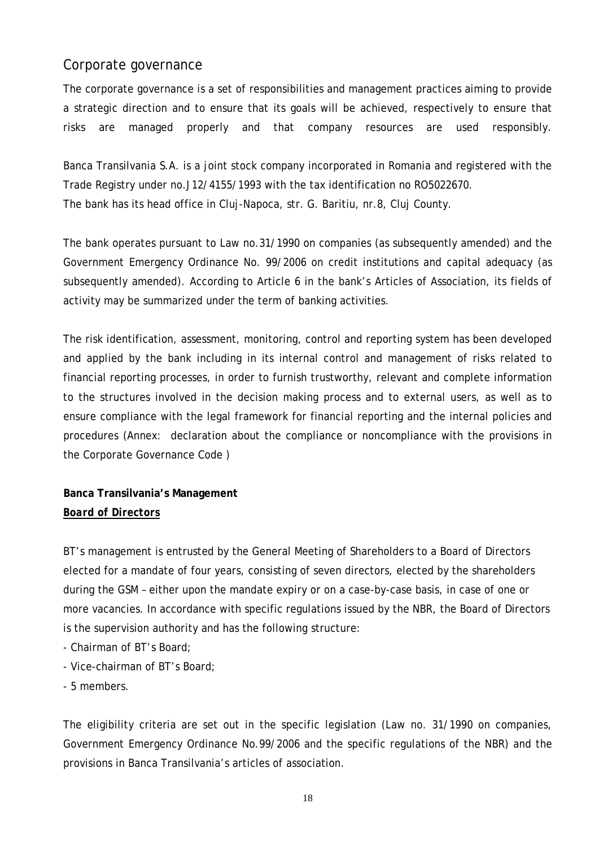# Corporate governance

The corporate governance is a set of responsibilities and management practices aiming to provide a strategic direction and to ensure that its goals will be achieved, respectively to ensure that risks are managed properly and that company resources are used responsibly.

Banca Transilvania S.A. is a joint stock company incorporated in Romania and registered with the Trade Registry under no.J12/4155/1993 with the tax identification no RO5022670. The bank has its head office in Cluj-Napoca, str. G. Baritiu, nr.8, Cluj County.

The bank operates pursuant to Law no.31/1990 on companies (as subsequently amended) and the Government Emergency Ordinance No. 99/2006 on credit institutions and capital adequacy (as subsequently amended). According to Article 6 in the bank's Articles of Association, its fields of activity may be summarized under the term of banking activities.

The risk identification, assessment, monitoring, control and reporting system has been developed and applied by the bank including in its internal control and management of risks related to financial reporting processes, in order to furnish trustworthy, relevant and complete information to the structures involved in the decision making process and to external users, as well as to ensure compliance with the legal framework for financial reporting and the internal policies and procedures (Annex: declaration about the compliance or noncompliance with the provisions in the Corporate Governance Code )

# **Banca Transilvania's Management**  *Board of Directors*

BT's management is entrusted by the General Meeting of Shareholders to a Board of Directors elected for a mandate of four years, consisting of seven directors, elected by the shareholders during the GSM – either upon the mandate expiry or on a case-by-case basis, in case of one or more vacancies. In accordance with specific regulations issued by the NBR, the Board of Directors is the supervision authority and has the following structure:

- Chairman of BT's Board;
- Vice-chairman of BT's Board;
- 5 members.

The eligibility criteria are set out in the specific legislation (Law no. 31/1990 on companies, Government Emergency Ordinance No.99/2006 and the specific regulations of the NBR) and the provisions in Banca Transilvania's articles of association.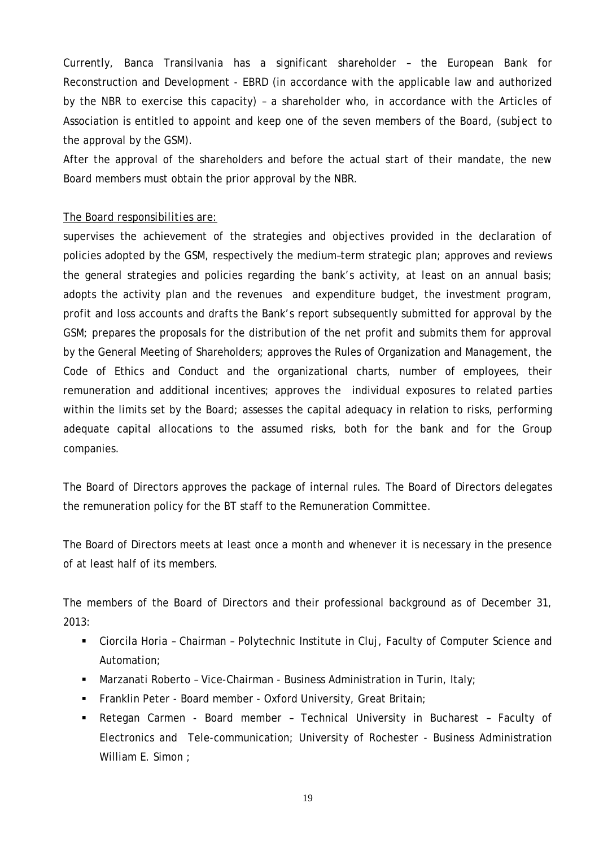Currently, Banca Transilvania has a significant shareholder – the European Bank for Reconstruction and Development - EBRD (in accordance with the applicable law and authorized by the NBR to exercise this capacity) – a shareholder who, in accordance with the Articles of Association is entitled to appoint and keep one of the seven members of the Board, (subject to the approval by the GSM).

After the approval of the shareholders and before the actual start of their mandate, the new Board members must obtain the prior approval by the NBR.

#### *The Board responsibilities are*:

supervises the achievement of the strategies and objectives provided in the declaration of policies adopted by the GSM, respectively the medium–term strategic plan; approves and reviews the general strategies and policies regarding the bank's activity, at least on an annual basis; adopts the activity plan and the revenues and expenditure budget, the investment program, profit and loss accounts and drafts the Bank's report subsequently submitted for approval by the GSM; prepares the proposals for the distribution of the net profit and submits them for approval by the General Meeting of Shareholders; approves the Rules of Organization and Management, the Code of Ethics and Conduct and the organizational charts, number of employees, their remuneration and additional incentives; approves the individual exposures to related parties within the limits set by the Board; assesses the capital adequacy in relation to risks, performing adequate capital allocations to the assumed risks, both for the bank and for the Group companies.

The Board of Directors approves the package of internal rules. The Board of Directors delegates the remuneration policy for the BT staff to the Remuneration Committee.

The Board of Directors meets at least once a month and whenever it is necessary in the presence of at least half of its members.

The members of the Board of Directors and their professional background as of December 31, 2013:

- Ciorcila Horia Chairman Polytechnic Institute in Cluj, Faculty of Computer Science and Automation;
- **Marzanati Roberto Vice-Chairman Business Administration in Turin, Italy;**
- **Franklin Peter Board member Oxford University, Great Britain;**
- Retegan Carmen Board member Technical University in Bucharest Faculty of Electronics and Tele-communication; University of Rochester - Business Administration William E. Simon ;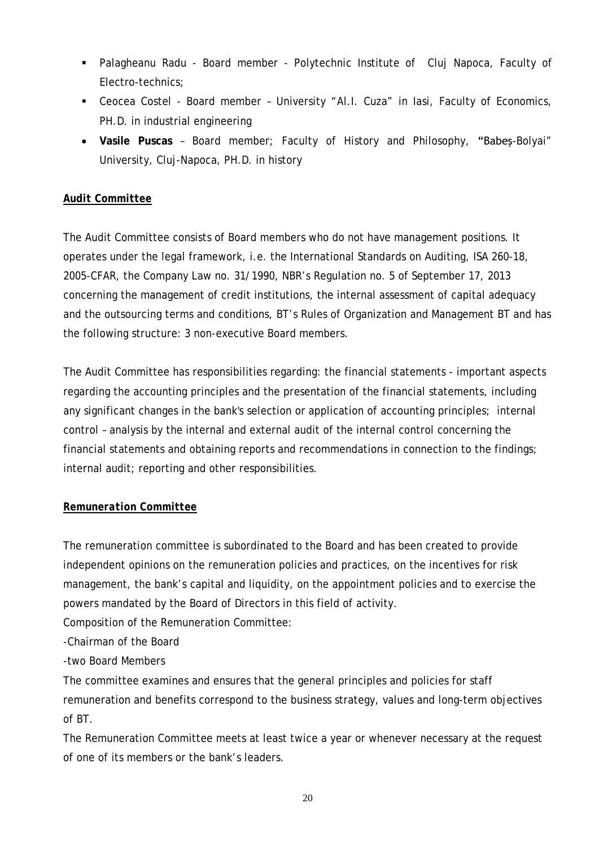- Palagheanu Radu Board member Polytechnic Institute of Cluj Napoca, Faculty of Electro-technics;
- Ceocea Costel Board member University "Al.I. Cuza" in Iasi, Faculty of Economics, PH.D. in industrial engineering
- **Vasile Puscas** Board member; Faculty of History and Philosophy, "Babeş-Bolyai" University, Cluj-Napoca, PH.D. in history

# *Audit Committee*

The Audit Committee consists of Board members who do not have management positions. It operates under the legal framework, i.e. the International Standards on Auditing, ISA 260-18, 2005-CFAR, the Company Law no. 31/1990, NBR's Regulation no. 5 of September 17, 2013 concerning the management of credit institutions, the internal assessment of capital adequacy and the outsourcing terms and conditions, BT's Rules of Organization and Management BT and has the following structure: 3 non-executive Board members.

The Audit Committee has responsibilities regarding: the financial statements - important aspects regarding the accounting principles and the presentation of the financial statements, including any significant changes in the bank's selection or application of accounting principles; internal control – analysis by the internal and external audit of the internal control concerning the financial statements and obtaining reports and recommendations in connection to the findings; internal audit; reporting and other responsibilities.

# *Remuneration Committee*

The remuneration committee is subordinated to the Board and has been created to provide independent opinions on the remuneration policies and practices, on the incentives for risk management, the bank's capital and liquidity, on the appointment policies and to exercise the powers mandated by the Board of Directors in this field of activity.

Composition of the Remuneration Committee:

-Chairman of the Board

-two Board Members

The committee examines and ensures that the general principles and policies for staff remuneration and benefits correspond to the business strategy, values and long-term objectives of BT.

The Remuneration Committee meets at least twice a year or whenever necessary at the request of one of its members or the bank's leaders.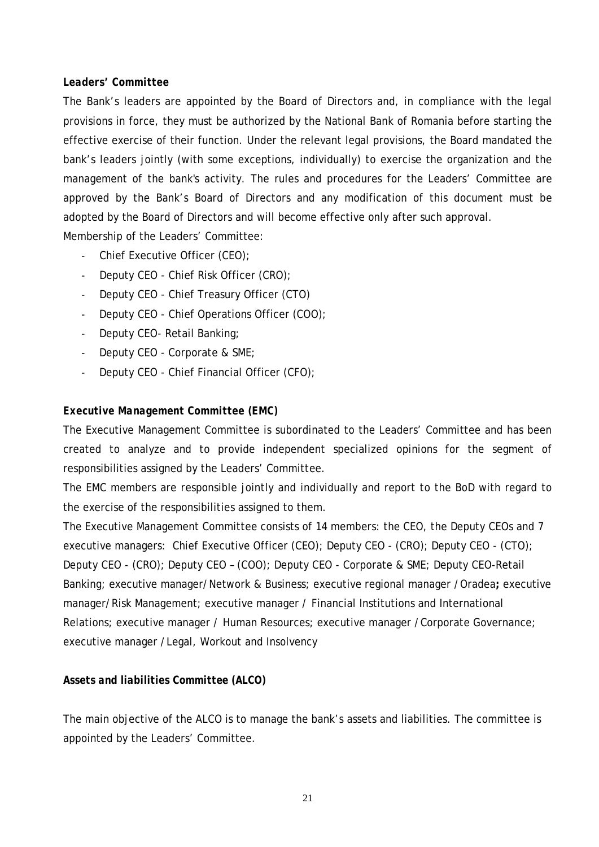#### *Leaders' Committee*

The Bank's leaders are appointed by the Board of Directors and, in compliance with the legal provisions in force, they must be authorized by the National Bank of Romania before starting the effective exercise of their function. Under the relevant legal provisions, the Board mandated the bank's leaders jointly (with some exceptions, individually) to exercise the organization and the management of the bank's activity. The rules and procedures for the Leaders' Committee are approved by the Bank's Board of Directors and any modification of this document must be adopted by the Board of Directors and will become effective only after such approval.

Membership of the Leaders' Committee:

- Chief Executive Officer (CEO);
- Deputy CEO Chief Risk Officer (CRO);
- Deputy CEO Chief Treasury Officer (CTO)
- Deputy CEO Chief Operations Officer (COO);
- Deputy CEO- Retail Banking;
- Deputy CEO Corporate & SME;
- Deputy CEO Chief Financial Officer (CFO);

# *Executive Management Committee (EMC)*

The Executive Management Committee is subordinated to the Leaders' Committee and has been created to analyze and to provide independent specialized opinions for the segment of responsibilities assigned by the Leaders' Committee.

The EMC members are responsible jointly and individually and report to the BoD with regard to the exercise of the responsibilities assigned to them.

The Executive Management Committee consists of 14 members: the CEO, the Deputy CEOs and 7 executive managers: Chief Executive Officer (CEO); Deputy CEO - (CRO); Deputy CEO - (CTO); Deputy CEO - (CRO); Deputy CEO – (COO); Deputy CEO - Corporate & SME; Deputy CEO-Retail Banking; executive manager/Network & Business; executive regional manager /Oradea**;** executive manager/Risk Management; executive manager / Financial Institutions and International Relations; executive manager / Human Resources; executive manager /Corporate Governance; executive manager /Legal, Workout and Insolvency

# *Assets and liabilities Committee (ALCO)*

The main objective of the ALCO is to manage the bank's assets and liabilities. The committee is appointed by the Leaders' Committee.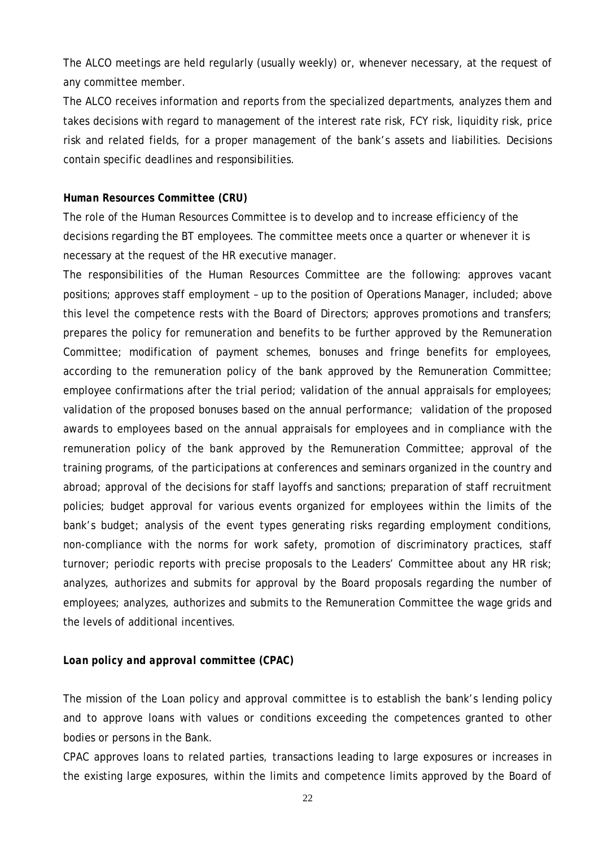The ALCO meetings are held regularly (usually weekly) or, whenever necessary, at the request of any committee member.

The ALCO receives information and reports from the specialized departments, analyzes them and takes decisions with regard to management of the interest rate risk, FCY risk, liquidity risk, price risk and related fields, for a proper management of the bank's assets and liabilities. Decisions contain specific deadlines and responsibilities.

#### *Human Resources Committee (CRU)*

The role of the Human Resources Committee is to develop and to increase efficiency of the decisions regarding the BT employees. The committee meets once a quarter or whenever it is necessary at the request of the HR executive manager.

The responsibilities of the Human Resources Committee are the following: approves vacant positions; approves staff employment – up to the position of Operations Manager, included; above this level the competence rests with the Board of Directors; approves promotions and transfers; prepares the policy for remuneration and benefits to be further approved by the Remuneration Committee; modification of payment schemes, bonuses and fringe benefits for employees, according to the remuneration policy of the bank approved by the Remuneration Committee; employee confirmations after the trial period; validation of the annual appraisals for employees; validation of the proposed bonuses based on the annual performance; validation of the proposed awards to employees based on the annual appraisals for employees and in compliance with the remuneration policy of the bank approved by the Remuneration Committee; approval of the training programs, of the participations at conferences and seminars organized in the country and abroad; approval of the decisions for staff layoffs and sanctions; preparation of staff recruitment policies; budget approval for various events organized for employees within the limits of the bank's budget; analysis of the event types generating risks regarding employment conditions, non-compliance with the norms for work safety, promotion of discriminatory practices, staff turnover; periodic reports with precise proposals to the Leaders' Committee about any HR risk; analyzes, authorizes and submits for approval by the Board proposals regarding the number of employees; analyzes, authorizes and submits to the Remuneration Committee the wage grids and the levels of additional incentives.

#### *Loan policy and approval committee (CPAC)*

The mission of the Loan policy and approval committee is to establish the bank's lending policy and to approve loans with values or conditions exceeding the competences granted to other bodies or persons in the Bank.

CPAC approves loans to related parties, transactions leading to large exposures or increases in the existing large exposures, within the limits and competence limits approved by the Board of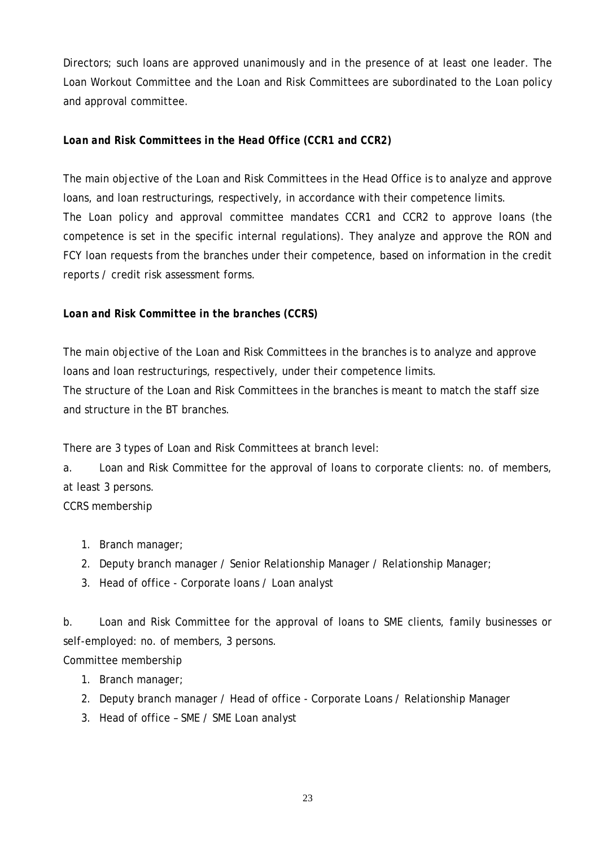Directors; such loans are approved unanimously and in the presence of at least one leader. The Loan Workout Committee and the Loan and Risk Committees are subordinated to the Loan policy and approval committee.

# *Loan and Risk Committees in the Head Office (CCR1 and CCR2)*

The main objective of the Loan and Risk Committees in the Head Office is to analyze and approve loans, and loan restructurings, respectively, in accordance with their competence limits. The Loan policy and approval committee mandates CCR1 and CCR2 to approve loans (the competence is set in the specific internal regulations*).* They analyze and approve the RON and FCY loan requests from the branches under their competence, based on information in the credit reports / credit risk assessment forms.

# *Loan and Risk Committee in the branches (CCRS)*

The main objective of the Loan and Risk Committees in the branches is to analyze and approve loans and loan restructurings, respectively, under their competence limits.

The structure of the Loan and Risk Committees in the branches is meant to match the staff size and structure in the BT branches.

There are 3 types of Loan and Risk Committees at branch level:

a. Loan and Risk Committee for the approval of loans to corporate clients: no. of members, at least 3 persons.

CCRS membership

- 1. Branch manager;
- 2. Deputy branch manager / Senior Relationship Manager / Relationship Manager;
- 3. Head of office Corporate loans / Loan analyst

b. Loan and Risk Committee for the approval of loans to SME clients, family businesses or self-employed: no. of members, 3 persons.

Committee membership

- 1. Branch manager;
- 2. Deputy branch manager / Head of office Corporate Loans / Relationship Manager
- 3. Head of office SME / SME Loan analyst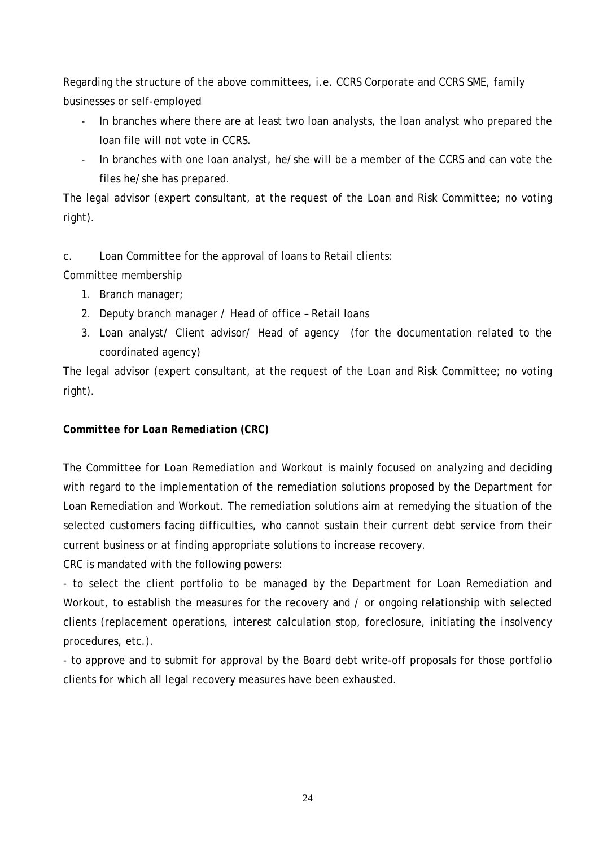Regarding the structure of the above committees, i.e. CCRS Corporate and CCRS SME, family businesses or self-employed

- In branches where there are at least two loan analysts, the loan analyst who prepared the loan file will not vote in CCRS.
- In branches with one loan analyst, he/she will be a member of the CCRS and can vote the files he/she has prepared.

The legal advisor (expert consultant, at the request of the Loan and Risk Committee; no voting right).

c. Loan Committee for the approval of loans to Retail clients:

Committee membership

- 1. Branch manager;
- 2. Deputy branch manager / Head of office Retail loans
- 3. Loan analyst/ Client advisor/ Head of agency (for the documentation related to the coordinated agency)

The legal advisor (expert consultant, at the request of the Loan and Risk Committee; no voting right).

# *Committee for Loan Remediation (CRC)*

The Committee for Loan Remediation and Workout is mainly focused on analyzing and deciding with regard to the implementation of the remediation solutions proposed by the Department for Loan Remediation and Workout. The remediation solutions aim at remedying the situation of the selected customers facing difficulties, who cannot sustain their current debt service from their current business or at finding appropriate solutions to increase recovery.

CRC is mandated with the following powers:

- to select the client portfolio to be managed by the Department for Loan Remediation and Workout, to establish the measures for the recovery and / or ongoing relationship with selected clients (replacement operations, interest calculation stop, foreclosure, initiating the insolvency procedures, etc.).

- to approve and to submit for approval by the Board debt write-off proposals for those portfolio clients for which all legal recovery measures have been exhausted.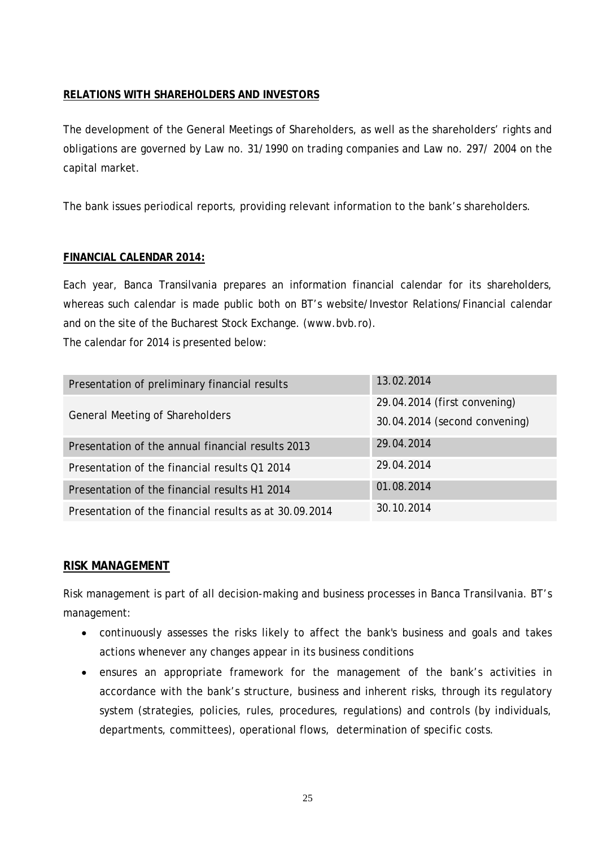# <span id="page-26-0"></span>**RELATIONS WITH SHAREHOLDERS AND INVESTORS**

The development of the General Meetings of Shareholders, as well as the shareholders' rights and obligations are governed by Law no. 31/1990 on trading companies and Law no. 297/ 2004 on the capital market.

The bank issues periodical reports, providing relevant information to the bank's shareholders.

# <span id="page-26-1"></span>**FINANCIAL CALENDAR 2014:**

Each year, Banca Transilvania prepares an information financial calendar for its shareholders, whereas such calendar is made public both on BT's website/Investor Relations/Financial calendar and on the site of the Bucharest Stock Exchange. (www.bvb.ro).

The calendar for 2014 is presented below:

| Presentation of preliminary financial results          | 13.02.2014                                                    |
|--------------------------------------------------------|---------------------------------------------------------------|
| <b>General Meeting of Shareholders</b>                 | 29.04.2014 (first convening)<br>30.04.2014 (second convening) |
| Presentation of the annual financial results 2013      | 29.04.2014                                                    |
| Presentation of the financial results Q1 2014          | 29.04.2014                                                    |
| Presentation of the financial results H1 2014          | 01.08.2014                                                    |
| Presentation of the financial results as at 30.09.2014 | 30.10.2014                                                    |

# <span id="page-26-2"></span>**RISK MANAGEMENT**

Risk management is part of all decision-making and business processes in Banca Transilvania. BT's management:

- continuously assesses the risks likely to affect the bank's business and goals and takes actions whenever any changes appear in its business conditions
- ensures an appropriate framework for the management of the bank's activities in accordance with the bank's structure, business and inherent risks, through its regulatory system (strategies, policies, rules, procedures, regulations) and controls (by individuals, departments, committees), operational flows, determination of specific costs.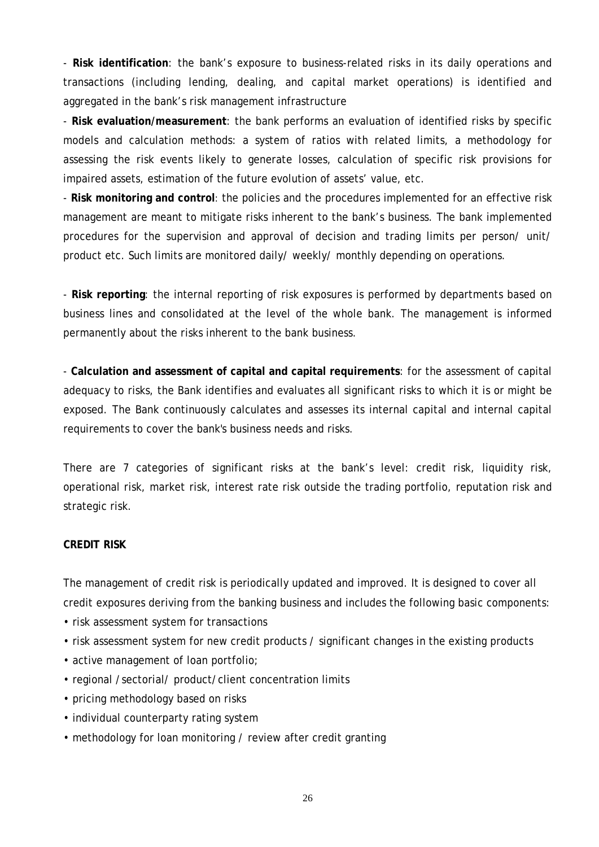- **Risk identification**: the bank's exposure to business-related risks in its daily operations and transactions (including lending, dealing, and capital market operations) is identified and aggregated in the bank's risk management infrastructure

- **Risk evaluation/measurement**: the bank performs an evaluation of identified risks by specific models and calculation methods: a system of ratios with related limits, a methodology for assessing the risk events likely to generate losses, calculation of specific risk provisions for impaired assets, estimation of the future evolution of assets' value, etc.

- **Risk monitoring and control**: the policies and the procedures implemented for an effective risk management are meant to mitigate risks inherent to the bank's business. The bank implemented procedures for the supervision and approval of decision and trading limits per person/ unit/ product etc. Such limits are monitored daily/ weekly/ monthly depending on operations.

- **Risk reporting**: the internal reporting of risk exposures is performed by departments based on business lines and consolidated at the level of the whole bank. The management is informed permanently about the risks inherent to the bank business.

- **Calculation and assessment of capital and capital requirements**: for the assessment of capital adequacy to risks, the Bank identifies and evaluates all significant risks to which it is or might be exposed. The Bank continuously calculates and assesses its internal capital and internal capital requirements to cover the bank's business needs and risks.

There are 7 categories of significant risks at the bank's level: credit risk, liquidity risk, operational risk, market risk, interest rate risk outside the trading portfolio, reputation risk and strategic risk.

#### **CREDIT RISK**

The management of credit risk is periodically updated and improved. It is designed to cover all credit exposures deriving from the banking business and includes the following basic components:

- risk assessment system for transactions
- risk assessment system for new credit products / significant changes in the existing products
- active management of loan portfolio;
- regional /sectorial/ product/client concentration limits
- pricing methodology based on risks
- individual counterparty rating system
- methodology for loan monitoring / review after credit granting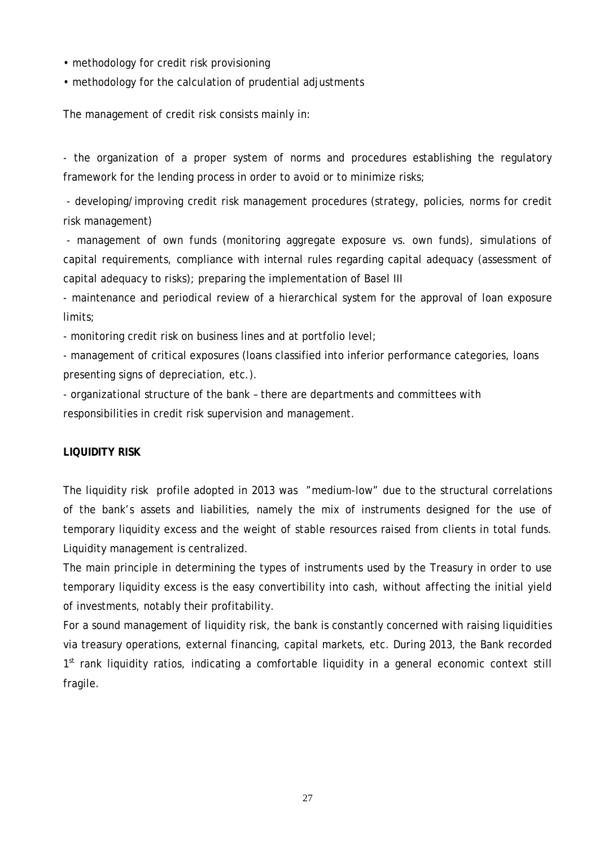- methodology for credit risk provisioning
- methodology for the calculation of prudential adjustments

The management of credit risk consists mainly in:

- the organization of a proper system of norms and procedures establishing the regulatory framework for the lending process in order to avoid or to minimize risks;

- developing/improving credit risk management procedures (strategy, policies, norms for credit risk management)

- management of own funds (monitoring aggregate exposure vs. own funds), simulations of capital requirements, compliance with internal rules regarding capital adequacy (assessment of capital adequacy to risks); preparing the implementation of Basel III

- maintenance and periodical review of a hierarchical system for the approval of loan exposure limits;

- monitoring credit risk on business lines and at portfolio level;

- management of critical exposures (loans classified into inferior performance categories, loans presenting signs of depreciation, etc.).

- organizational structure of the bank – there are departments and committees with responsibilities in credit risk supervision and management.

# **LIQUIDITY RISK**

The liquidity risk profile adopted in 2013 was "medium-low" due to the structural correlations of the bank's assets and liabilities, namely the mix of instruments designed for the use of temporary liquidity excess and the weight of stable resources raised from clients in total funds. Liquidity management is centralized.

The main principle in determining the types of instruments used by the Treasury in order to use temporary liquidity excess is the easy convertibility into cash, without affecting the initial yield of investments, notably their profitability.

For a sound management of liquidity risk, the bank is constantly concerned with raising liquidities via treasury operations, external financing, capital markets, etc. During 2013, the Bank recorded  $1<sup>st</sup>$  rank liquidity ratios, indicating a comfortable liquidity in a general economic context still fragile.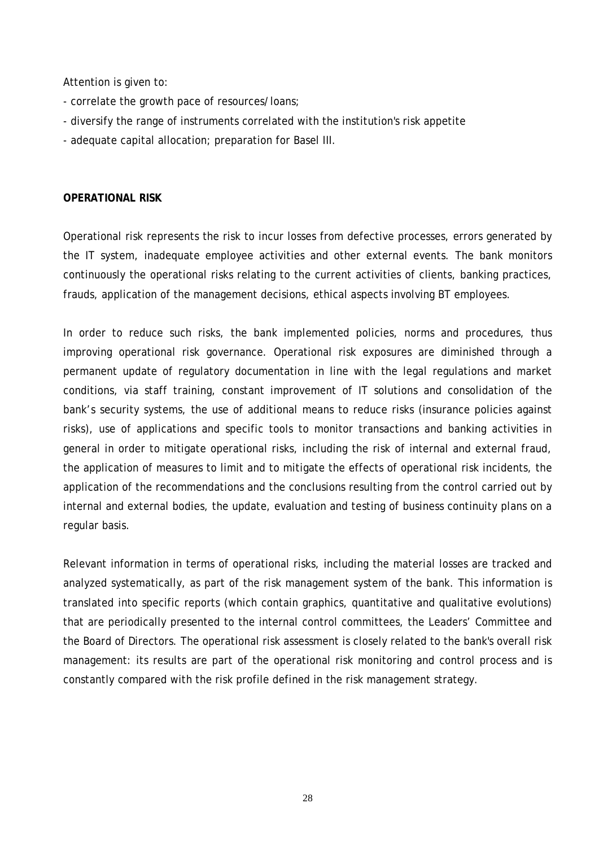Attention is given to:

- correlate the growth pace of resources/loans;
- diversify the range of instruments correlated with the institution's risk appetite
- adequate capital allocation; preparation for Basel III.

#### **OPERATIONAL RISK**

Operational risk represents the risk to incur losses from defective processes, errors generated by the IT system, inadequate employee activities and other external events. The bank monitors continuously the operational risks relating to the current activities of clients, banking practices, frauds, application of the management decisions, ethical aspects involving BT employees.

In order to reduce such risks, the bank implemented policies, norms and procedures, thus improving operational risk governance. Operational risk exposures are diminished through a permanent update of regulatory documentation in line with the legal regulations and market conditions, via staff training, constant improvement of IT solutions and consolidation of the bank's security systems, the use of additional means to reduce risks (insurance policies against risks), use of applications and specific tools to monitor transactions and banking activities in general in order to mitigate operational risks, including the risk of internal and external fraud, the application of measures to limit and to mitigate the effects of operational risk incidents, the application of the recommendations and the conclusions resulting from the control carried out by internal and external bodies, the update, evaluation and testing of business continuity plans on a regular basis.

Relevant information in terms of operational risks, including the material losses are tracked and analyzed systematically, as part of the risk management system of the bank. This information is translated into specific reports (which contain graphics, quantitative and qualitative evolutions) that are periodically presented to the internal control committees, the Leaders' Committee and the Board of Directors. The operational risk assessment is closely related to the bank's overall risk management: its results are part of the operational risk monitoring and control process and is constantly compared with the risk profile defined in the risk management strategy.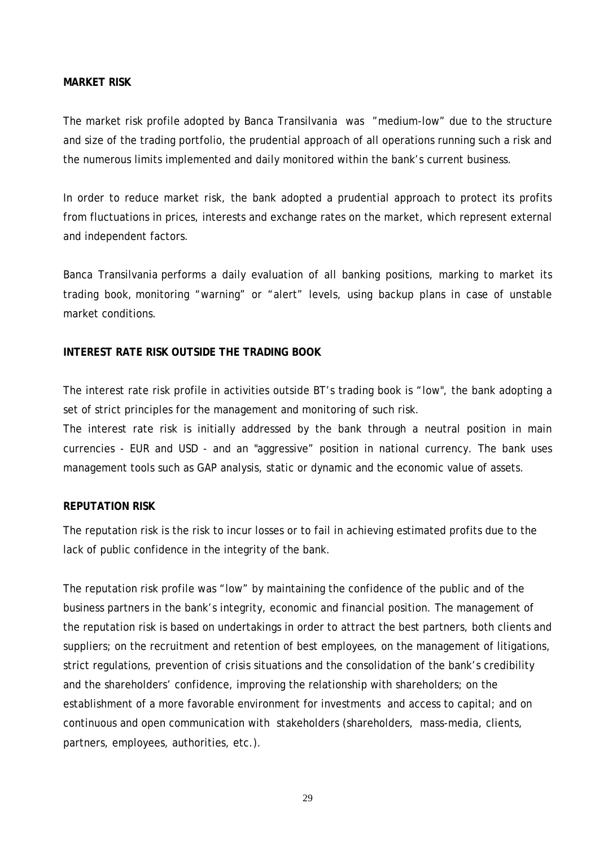#### **MARKET RISK**

The market risk profile adopted by Banca Transilvania was "medium-low" due to the structure and size of the trading portfolio, the prudential approach of all operations running such a risk and the numerous limits implemented and daily monitored within the bank's current business.

In order to reduce market risk, the bank adopted a prudential approach to protect its profits from fluctuations in prices, interests and exchange rates on the market, which represent external and independent factors.

Banca Transilvania performs a daily evaluation of all banking positions, marking to market its trading book, monitoring "warning" or "alert" levels, using backup plans in case of unstable market conditions.

#### **INTEREST RATE RISK OUTSIDE THE TRADING BOOK**

The interest rate risk profile in activities outside BT's trading book is "low", the bank adopting a set of strict principles for the management and monitoring of such risk.

The interest rate risk is initially addressed by the bank through a neutral position in main currencies - EUR and USD - and an "aggressive" position in national currency. The bank uses management tools such as GAP analysis, static or dynamic and the economic value of assets.

#### **REPUTATION RISK**

The reputation risk is the risk to incur losses or to fail in achieving estimated profits due to the lack of public confidence in the integrity of the bank.

The reputation risk profile was "low" by maintaining the confidence of the public and of the business partners in the bank's integrity, economic and financial position. The management of the reputation risk is based on undertakings in order to attract the best partners, both clients and suppliers; on the recruitment and retention of best employees, on the management of litigations, strict regulations, prevention of crisis situations and the consolidation of the bank's credibility and the shareholders' confidence, improving the relationship with shareholders; on the establishment of a more favorable environment for investments and access to capital; and on continuous and open communication with stakeholders (shareholders, mass-media, clients, partners, employees, authorities, etc.).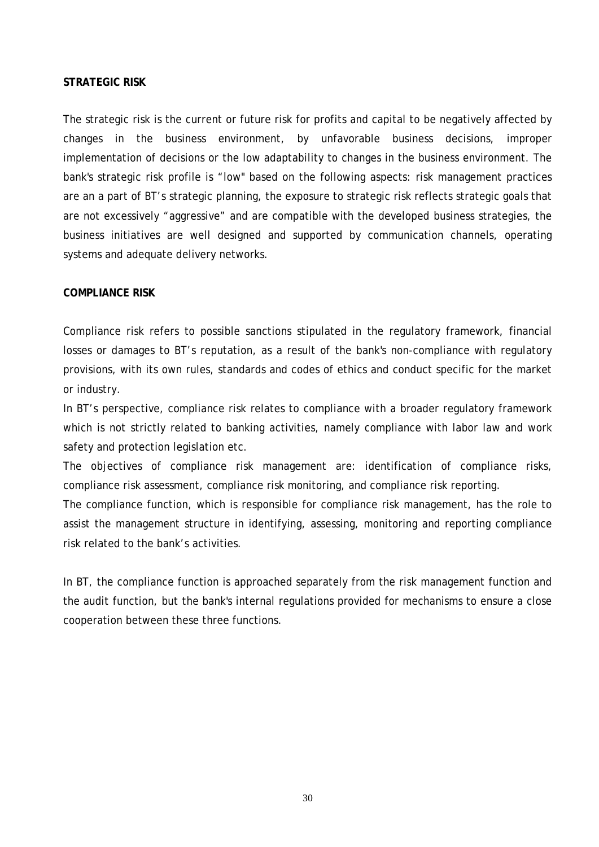#### **STRATEGIC RISK**

The strategic risk is the current or future risk for profits and capital to be negatively affected by changes in the business environment, by unfavorable business decisions, improper implementation of decisions or the low adaptability to changes in the business environment. The bank's strategic risk profile is "low" based on the following aspects: risk management practices are an a part of BT's strategic planning, the exposure to strategic risk reflects strategic goals that are not excessively "aggressive" and are compatible with the developed business strategies, the business initiatives are well designed and supported by communication channels, operating systems and adequate delivery networks.

#### **COMPLIANCE RISK**

Compliance risk refers to possible sanctions stipulated in the regulatory framework, financial losses or damages to BT's reputation, as a result of the bank's non-compliance with regulatory provisions, with its own rules, standards and codes of ethics and conduct specific for the market or industry.

In BT's perspective, compliance risk relates to compliance with a broader regulatory framework which is not strictly related to banking activities, namely compliance with labor law and work safety and protection legislation etc.

The objectives of compliance risk management are: identification of compliance risks, compliance risk assessment, compliance risk monitoring, and compliance risk reporting. The compliance function, which is responsible for compliance risk management, has the role to

assist the management structure in identifying, assessing, monitoring and reporting compliance risk related to the bank's activities.

In BT, the compliance function is approached separately from the risk management function and the audit function, but the bank's internal regulations provided for mechanisms to ensure a close cooperation between these three functions.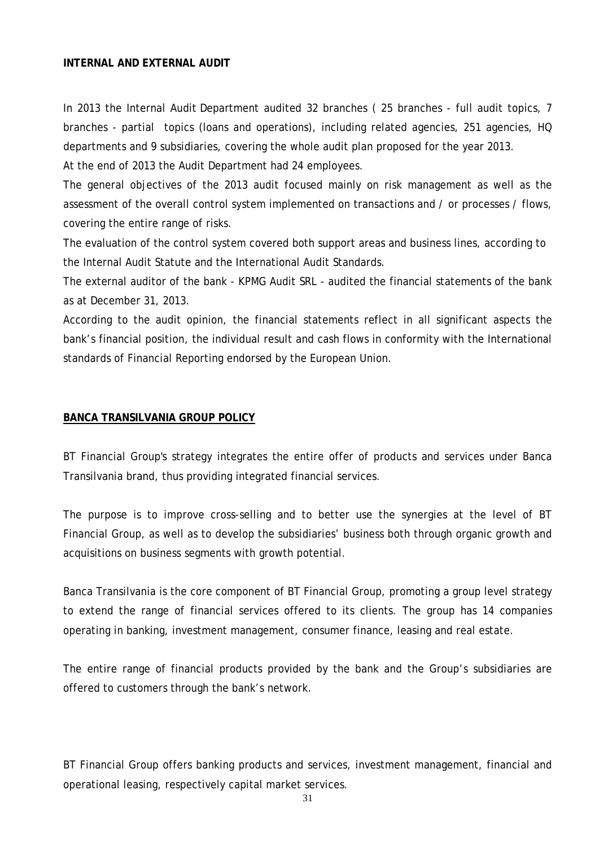#### **INTERNAL AND EXTERNAL AUDIT**

In 2013 the Internal Audit Department audited 32 branches ( 25 branches - full audit topics, 7 branches - partial topics (loans and operations), including related agencies, 251 agencies, HQ departments and 9 subsidiaries, covering the whole audit plan proposed for the year 2013.

At the end of 2013 the Audit Department had 24 employees.

The general objectives of the 2013 audit focused mainly on risk management as well as the assessment of the overall control system implemented on transactions and / or processes / flows, covering the entire range of risks.

The evaluation of the control system covered both support areas and business lines, according to the Internal Audit Statute and the International Audit Standards.

The external auditor of the bank - KPMG Audit SRL - audited the financial statements of the bank as at December 31, 2013.

According to the audit opinion, the financial statements reflect in all significant aspects the bank's financial position, the individual result and cash flows in conformity with the International standards of Financial Reporting endorsed by the European Union.

#### <span id="page-32-0"></span>**BANCA TRANSILVANIA GROUP POLICY**

BT Financial Group's strategy integrates the entire offer of products and services under Banca Transilvania brand, thus providing integrated financial services.

The purpose is to improve cross-selling and to better use the synergies at the level of BT Financial Group, as well as to develop the subsidiaries' business both through organic growth and acquisitions on business segments with growth potential.

Banca Transilvania is the core component of BT Financial Group, promoting a group level strategy to extend the range of financial services offered to its clients. The group has 14 companies operating in banking, investment management, consumer finance, leasing and real estate.

The entire range of financial products provided by the bank and the Group's subsidiaries are offered to customers through the bank's network.

BT Financial Group offers banking products and services, investment management, financial and operational leasing, respectively capital market services.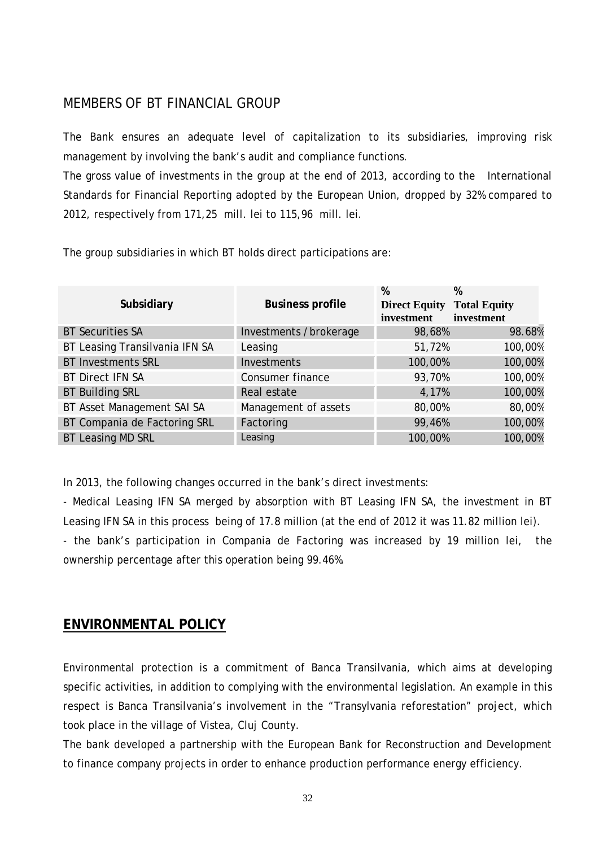# MEMBERS OF BT FINANCIAL GROUP

The Bank ensures an adequate level of capitalization to its subsidiaries, improving risk management by involving the bank's audit and compliance functions.

The gross value of investments in the group at the end of 2013, according to the International Standards for Financial Reporting adopted by the European Union, dropped by 32% compared to 2012, respectively from 171,25 mill. lei to 115,96 mill. lei.

The group subsidiaries in which BT holds direct participations are:

| Subsidiary                     | <b>Business profile</b> | %<br><b>Direct Equity</b><br>investment | %<br><b>Total Equity</b><br>investment |
|--------------------------------|-------------------------|-----------------------------------------|----------------------------------------|
| <b>BT Securities SA</b>        | Investments /brokerage  | 98,68%                                  | 98.68%                                 |
| BT Leasing Transilvania IFN SA | Leasing                 | 51,72%                                  | 100,00%                                |
| <b>BT Investments SRL</b>      | Investments             | 100,00%                                 | 100,00%                                |
| <b>BT Direct IFN SA</b>        | Consumer finance        | 93,70%                                  | 100,00%                                |
| <b>BT Building SRL</b>         | Real estate             | 4,17%                                   | 100,00%                                |
| BT Asset Management SAI SA     | Management of assets    | 80,00%                                  | 80,00%                                 |
| BT Compania de Factoring SRL   | Factoring               | 99,46%                                  | 100,00%                                |
| <b>BT Leasing MD SRL</b>       | Leasing                 | 100,00%                                 | 100,00%                                |

In 2013, the following changes occurred in the bank's direct investments:

- Medical Leasing IFN SA merged by absorption with BT Leasing IFN SA, the investment in BT Leasing IFN SA in this process being of 17.8 million (at the end of 2012 it was 11.82 million lei).

- the bank's participation in Compania de Factoring was increased by 19 million lei, the ownership percentage after this operation being 99.46%.

# <span id="page-33-0"></span>**ENVIRONMENTAL POLICY**

Environmental protection is a commitment of Banca Transilvania, which aims at developing specific activities, in addition to complying with the environmental legislation. An example in this respect is Banca Transilvania's involvement in the "Transylvania reforestation" project, which took place in the village of Vistea, Cluj County.

The bank developed a partnership with the European Bank for Reconstruction and Development to finance company projects in order to enhance production performance energy efficiency.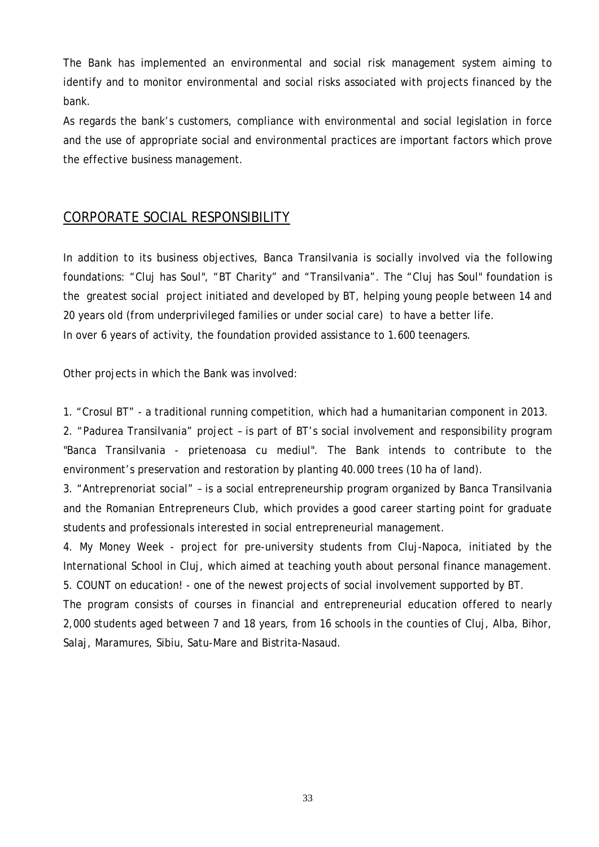The Bank has implemented an environmental and social risk management system aiming to identify and to monitor environmental and social risks associated with projects financed by the bank.

As regards the bank's customers, compliance with environmental and social legislation in force and the use of appropriate social and environmental practices are important factors which prove the effective business management.

# <span id="page-34-0"></span>CORPORATE SOCIAL RESPONSIBILITY

In addition to its business objectives, Banca Transilvania is socially involved via the following foundations: "Cluj has Soul", "BT Charity" and "Transilvania". The "Cluj has Soul" foundation is the greatest social project initiated and developed by BT, helping young people between 14 and 20 years old (from underprivileged families or under social care) to have a better life. In over 6 years of activity, the foundation provided assistance to 1.600 teenagers.

Other projects in which the Bank was involved:

1. "Crosul BT" - a traditional running competition, which had a humanitarian component in 2013.

2. "Padurea Transilvania" project – is part of BT's social involvement and responsibility program "Banca Transilvania - prietenoasa cu mediul". The Bank intends to contribute to the environment's preservation and restoration by planting 40.000 trees (10 ha of land).

3. "Antreprenoriat social" – is a social entrepreneurship program organized by Banca Transilvania and the Romanian Entrepreneurs Club, which provides a good career starting point for graduate students and professionals interested in social entrepreneurial management.

4. My Money Week - project for pre-university students from Cluj-Napoca, initiated by the International School in Cluj, which aimed at teaching youth about personal finance management. 5. COUNT on education! - one of the newest projects of social involvement supported by BT.

The program consists of courses in financial and entrepreneurial education offered to nearly 2,000 students aged between 7 and 18 years, from 16 schools in the counties of Cluj, Alba, Bihor, Salaj, Maramures, Sibiu, Satu-Mare and Bistrita-Nasaud.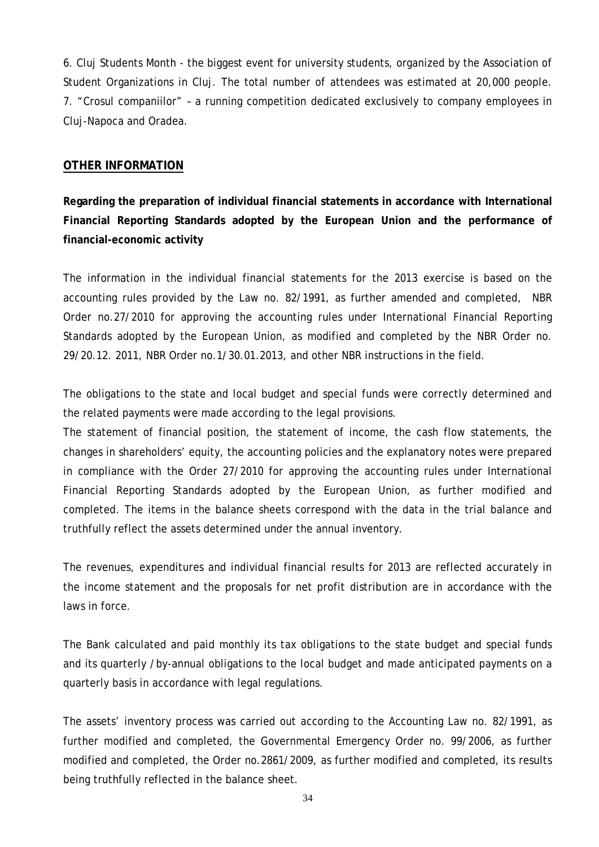6. Cluj Students Month - the biggest event for university students, organized by the Association of Student Organizations in Cluj. The total number of attendees was estimated at 20,000 people. 7. "Crosul companiilor" – a running competition dedicated exclusively to company employees in Cluj-Napoca and Oradea.

# <span id="page-35-0"></span>**OTHER INFORMATION**

**Regarding the preparation of individual financial statements in accordance with International Financial Reporting Standards adopted by the European Union and the performance of financial-economic activity**

The information in the individual financial statements for the 2013 exercise is based on the accounting rules provided by the Law no. 82/1991, as further amended and completed, NBR Order no.27/2010 for approving the accounting rules under International Financial Reporting Standards adopted by the European Union, as modified and completed by the NBR Order no. 29/20.12. 2011, NBR Order no.1/30.01.2013, and other NBR instructions in the field.

The obligations to the state and local budget and special funds were correctly determined and the related payments were made according to the legal provisions.

The statement of financial position, the statement of income, the cash flow statements, the changes in shareholders' equity, the accounting policies and the explanatory notes were prepared in compliance with the Order 27/2010 for approving the accounting rules under International Financial Reporting Standards adopted by the European Union, as further modified and completed. The items in the balance sheets correspond with the data in the trial balance and truthfully reflect the assets determined under the annual inventory.

The revenues, expenditures and individual financial results for 2013 are reflected accurately in the income statement and the proposals for net profit distribution are in accordance with the laws in force.

The Bank calculated and paid monthly its tax obligations to the state budget and special funds and its quarterly /by-annual obligations to the local budget and made anticipated payments on a quarterly basis in accordance with legal regulations.

The assets' inventory process was carried out according to the Accounting Law no. 82/1991, as further modified and completed, the Governmental Emergency Order no. 99/2006, as further modified and completed, the Order no.2861/2009, as further modified and completed, its results being truthfully reflected in the balance sheet.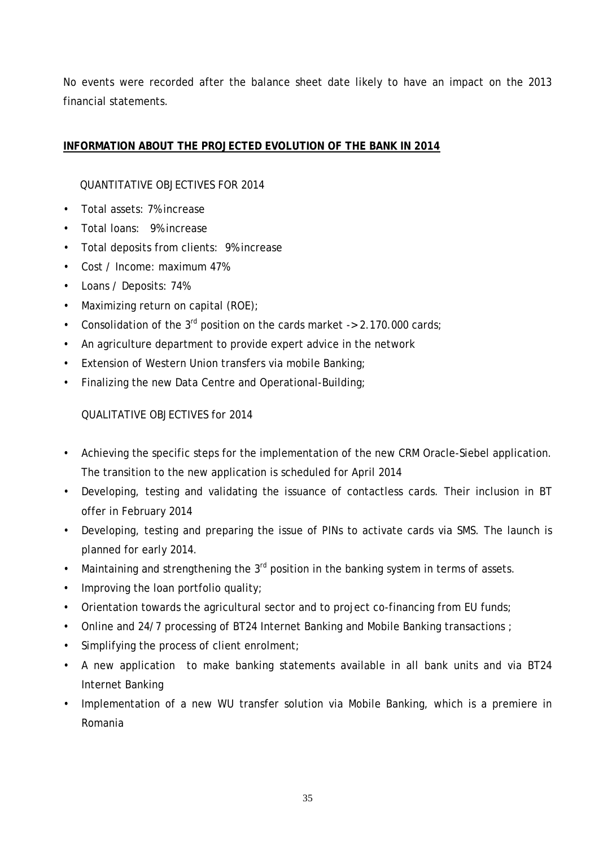No events were recorded after the balance sheet date likely to have an impact on the 2013 financial statements.

# <span id="page-36-0"></span>**INFORMATION ABOUT THE PROJECTED EVOLUTION OF THE BANK IN 2014**

# QUANTITATIVE OBJECTIVES FOR 2014

- Total assets: 7% increase
- Total loans: 9% increase
- Total deposits from clients: 9% increase
- Cost / Income: maximum 47%
- Loans / Deposits: 74%
- Maximizing return on capital (ROE);
- Consolidation of the  $3^{rd}$  position on the cards market -> 2.170.000 cards;
- An agriculture department to provide expert advice in the network
- Extension of Western Union transfers via mobile Banking;
- Finalizing the new Data Centre and Operational-Building;

# QUALITATIVE OBJECTIVES for 2014

- Achieving the specific steps for the implementation of the new CRM Oracle-Siebel application. The transition to the new application is scheduled for April 2014
- Developing, testing and validating the issuance of contactless cards. Their inclusion in BT offer in February 2014
- Developing, testing and preparing the issue of PINs to activate cards via SMS. The launch is planned for early 2014.
- Maintaining and strengthening the  $3<sup>rd</sup>$  position in the banking system in terms of assets.
- Improving the loan portfolio quality;
- Orientation towards the agricultural sector and to project co-financing from EU funds;
- Online and 24/7 processing of BT24 Internet Banking and Mobile Banking transactions;
- Simplifying the process of client enrolment;
- A new application to make banking statements available in all bank units and via BT24 Internet Banking
- Implementation of a new WU transfer solution via Mobile Banking, which is a premiere in Romania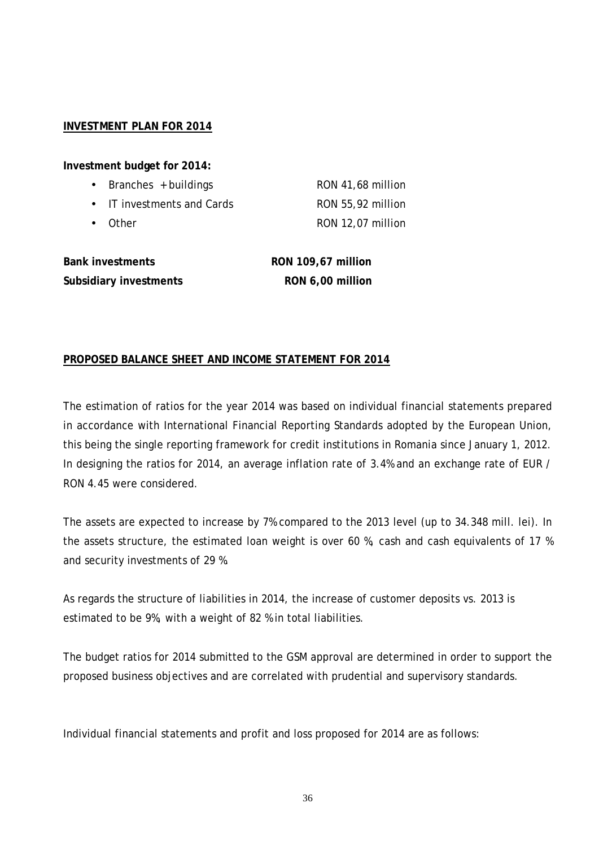#### <span id="page-37-0"></span>**INVESTMENT PLAN FOR 2014**

**Investment budget for 2014:**

| • Branches $+$ buildings   | RON 41,68 million |
|----------------------------|-------------------|
| • IT investments and Cards | RON 55,92 million |
| • Other                    | RON 12,07 million |

| <b>Bank investments</b> |  |  |
|-------------------------|--|--|
| Subsidiary investments  |  |  |

**Bank investments RON 109,67 million Subsidiary investments RON 6,00 million** 

# <span id="page-37-1"></span>**PROPOSED BALANCE SHEET AND INCOME STATEMENT FOR 2014**

The estimation of ratios for the year 2014 was based on individual financial statements prepared in accordance with International Financial Reporting Standards adopted by the European Union, this being the single reporting framework for credit institutions in Romania since January 1, 2012. In designing the ratios for 2014, an average inflation rate of 3.4% and an exchange rate of EUR / RON 4.45 were considered.

The assets are expected to increase by 7% compared to the 2013 level (up to 34.348 mill. lei). In the assets structure, the estimated loan weight is over 60 %, cash and cash equivalents of 17 % and security investments of 29 %.

As regards the structure of liabilities in 2014, the increase of customer deposits vs. 2013 is estimated to be 9%, with a weight of 82 % in total liabilities.

The budget ratios for 2014 submitted to the GSM approval are determined in order to support the proposed business objectives and are correlated with prudential and supervisory standards.

Individual financial statements and profit and loss proposed for 2014 are as follows: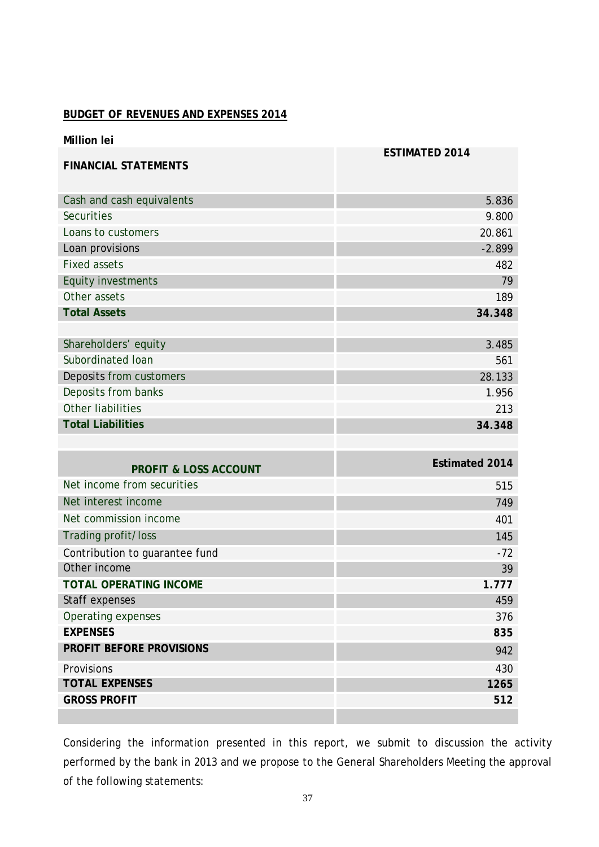#### **BUDGET OF REVENUES AND EXPENSES 2014**

| <b>Million lei</b>               |                       |
|----------------------------------|-----------------------|
| <b>FINANCIAL STATEMENTS</b>      | <b>ESTIMATED 2014</b> |
| Cash and cash equivalents        | 5.836                 |
| <b>Securities</b>                | 9.800                 |
| Loans to customers               | 20.861                |
| Loan provisions                  | $-2.899$              |
| <b>Fixed assets</b>              | 482                   |
| <b>Equity investments</b>        | 79                    |
| Other assets                     | 189                   |
| <b>Total Assets</b>              | 34.348                |
|                                  |                       |
| Shareholders' equity             | 3.485                 |
| Subordinated Ioan                | 561                   |
| Deposits from customers          | 28.133                |
| Deposits from banks              | 1.956                 |
| <b>Other liabilities</b>         | 213                   |
| <b>Total Liabilities</b>         | 34.348                |
|                                  |                       |
| <b>PROFIT &amp; LOSS ACCOUNT</b> | <b>Estimated 2014</b> |
| Net income from securities       | 515                   |
| Net interest income              | 749                   |
| Net commission income            | 401                   |
| Trading profit/loss              | 145                   |
| Contribution to guarantee fund   | $-72$                 |
| Other income                     | 39                    |
| TOTAL OPERATING INCOME           | 1.777                 |
| Staff expenses                   | 459                   |
| Operating expenses               | 376                   |
| <b>EXPENSES</b>                  | 835                   |
| PROFIT BEFORE PROVISIONS         | 942                   |
| Provisions                       | 430                   |
| <b>TOTAL EXPENSES</b>            | 1265                  |
| <b>GROSS PROFIT</b>              | 512                   |
|                                  |                       |

Considering the information presented in this report, we submit to discussion the activity performed by the bank in 2013 and we propose to the General Shareholders Meeting the approval of the following statements: